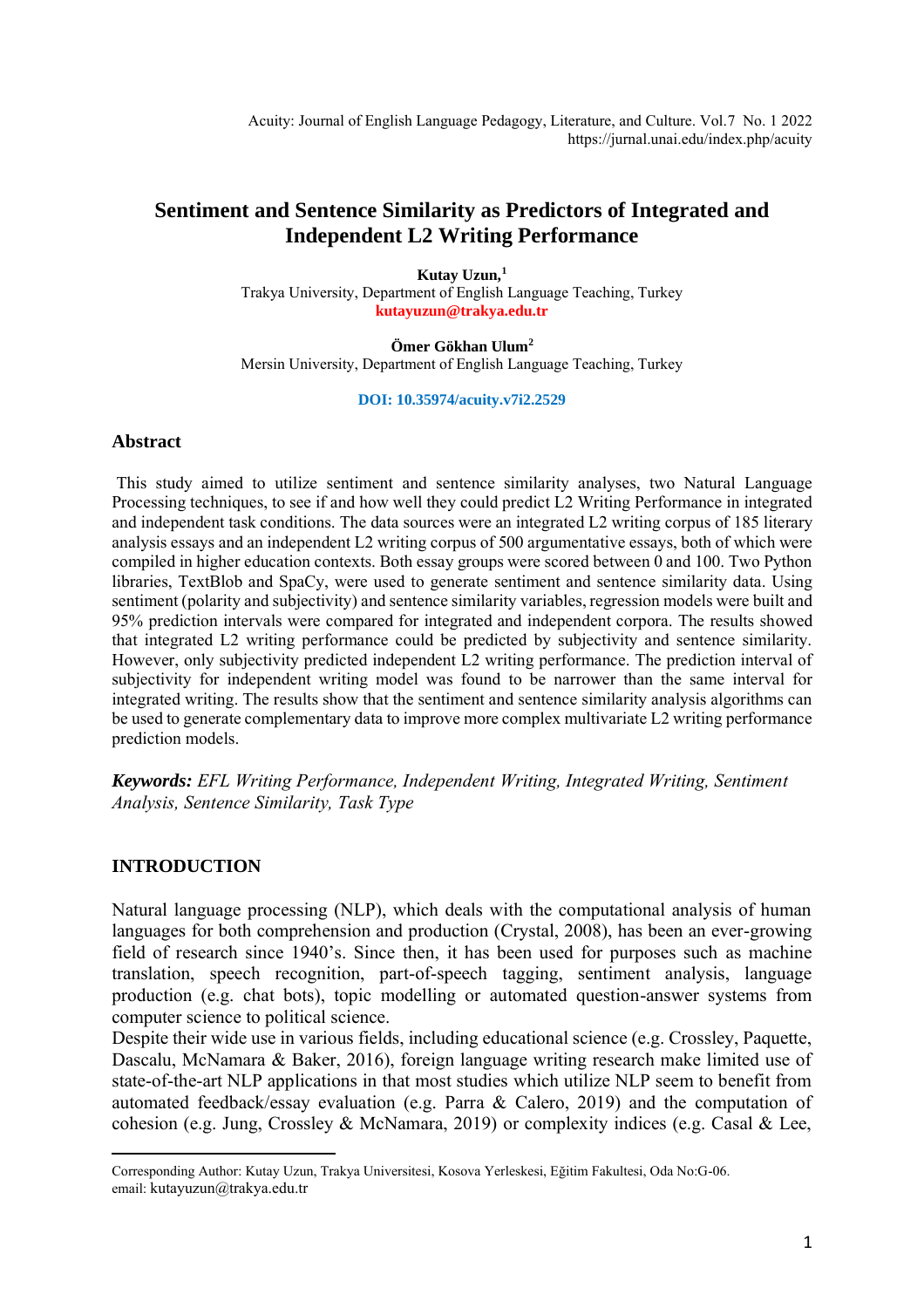Acuity: Journal of English Language Pedagogy, Literature, and Culture. Vol.7 No. 1 2022 https://jurnal.unai.edu/index.php/acuity

# **Sentiment and Sentence Similarity as Predictors of Integrated and Independent L2 Writing Performance**

**Kutay Uzun, 1** Trakya University, Department of English Language Teaching, Turkey **kutayuzun@trakya.edu.tr**

**Ömer Gökhan Ulum<sup>2</sup>** Mersin University, Department of English Language Teaching, Turkey

#### **DOI: 10.35974/acuity.v7i2.2529**

## **Abstract**

This study aimed to utilize sentiment and sentence similarity analyses, two Natural Language Processing techniques, to see if and how well they could predict L2 Writing Performance in integrated and independent task conditions. The data sources were an integrated L2 writing corpus of 185 literary analysis essays and an independent L2 writing corpus of 500 argumentative essays, both of which were compiled in higher education contexts. Both essay groups were scored between 0 and 100. Two Python libraries, TextBlob and SpaCy, were used to generate sentiment and sentence similarity data. Using sentiment (polarity and subjectivity) and sentence similarity variables, regression models were built and 95% prediction intervals were compared for integrated and independent corpora. The results showed that integrated L2 writing performance could be predicted by subjectivity and sentence similarity. However, only subjectivity predicted independent L2 writing performance. The prediction interval of subjectivity for independent writing model was found to be narrower than the same interval for integrated writing. The results show that the sentiment and sentence similarity analysis algorithms can be used to generate complementary data to improve more complex multivariate L2 writing performance prediction models.

*Keywords: EFL Writing Performance, Independent Writing, Integrated Writing, Sentiment Analysis, Sentence Similarity, Task Type*

## **INTRODUCTION**

Natural language processing (NLP), which deals with the computational analysis of human languages for both comprehension and production (Crystal, 2008), has been an ever-growing field of research since 1940's. Since then, it has been used for purposes such as machine translation, speech recognition, part-of-speech tagging, sentiment analysis, language production (e.g. chat bots), topic modelling or automated question-answer systems from computer science to political science.

Despite their wide use in various fields, including educational science (e.g. Crossley, Paquette, Dascalu, McNamara & Baker, 2016), foreign language writing research make limited use of state-of-the-art NLP applications in that most studies which utilize NLP seem to benefit from automated feedback/essay evaluation (e.g. Parra & Calero, 2019) and the computation of cohesion (e.g. Jung, Crossley & McNamara, 2019) or complexity indices (e.g. Casal & Lee,

Corresponding Author: Kutay Uzun, Trakya Universitesi, Kosova Yerleskesi, Eğitim Fakultesi, Oda No:G-06. email: kutayuzun@trakya.edu.tr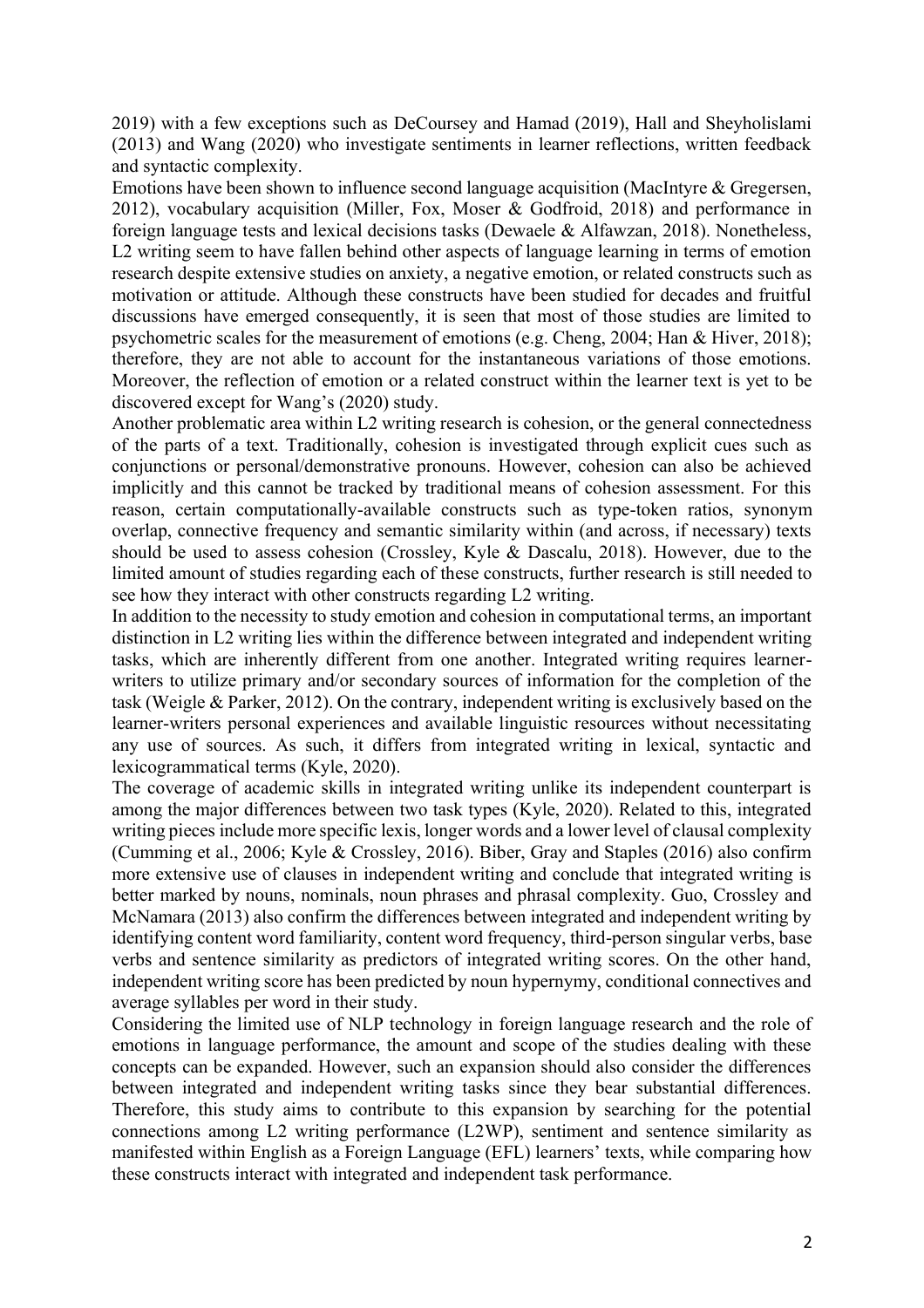2019) with a few exceptions such as DeCoursey and Hamad (2019), Hall and Sheyholislami (2013) and Wang (2020) who investigate sentiments in learner reflections, written feedback and syntactic complexity.

Emotions have been shown to influence second language acquisition (MacIntyre & Gregersen, 2012), vocabulary acquisition (Miller, Fox, Moser & Godfroid, 2018) and performance in foreign language tests and lexical decisions tasks (Dewaele & Alfawzan, 2018). Nonetheless, L<sub>2</sub> writing seem to have fallen behind other aspects of language learning in terms of emotion research despite extensive studies on anxiety, a negative emotion, or related constructs such as motivation or attitude. Although these constructs have been studied for decades and fruitful discussions have emerged consequently, it is seen that most of those studies are limited to psychometric scales for the measurement of emotions (e.g. Cheng, 2004; Han & Hiver, 2018); therefore, they are not able to account for the instantaneous variations of those emotions. Moreover, the reflection of emotion or a related construct within the learner text is yet to be discovered except for Wang's (2020) study.

Another problematic area within L2 writing research is cohesion, or the general connectedness of the parts of a text. Traditionally, cohesion is investigated through explicit cues such as conjunctions or personal/demonstrative pronouns. However, cohesion can also be achieved implicitly and this cannot be tracked by traditional means of cohesion assessment. For this reason, certain computationally-available constructs such as type-token ratios, synonym overlap, connective frequency and semantic similarity within (and across, if necessary) texts should be used to assess cohesion (Crossley, Kyle & Dascalu, 2018). However, due to the limited amount of studies regarding each of these constructs, further research is still needed to see how they interact with other constructs regarding L2 writing.

In addition to the necessity to study emotion and cohesion in computational terms, an important distinction in L2 writing lies within the difference between integrated and independent writing tasks, which are inherently different from one another. Integrated writing requires learnerwriters to utilize primary and/or secondary sources of information for the completion of the task (Weigle & Parker, 2012). On the contrary, independent writing is exclusively based on the learner-writers personal experiences and available linguistic resources without necessitating any use of sources. As such, it differs from integrated writing in lexical, syntactic and lexicogrammatical terms (Kyle, 2020).

The coverage of academic skills in integrated writing unlike its independent counterpart is among the major differences between two task types (Kyle, 2020). Related to this, integrated writing pieces include more specific lexis, longer words and a lower level of clausal complexity (Cumming et al., 2006; Kyle & Crossley, 2016). Biber, Gray and Staples (2016) also confirm more extensive use of clauses in independent writing and conclude that integrated writing is better marked by nouns, nominals, noun phrases and phrasal complexity. Guo, Crossley and McNamara (2013) also confirm the differences between integrated and independent writing by identifying content word familiarity, content word frequency, third-person singular verbs, base verbs and sentence similarity as predictors of integrated writing scores. On the other hand, independent writing score has been predicted by noun hypernymy, conditional connectives and average syllables per word in their study.

Considering the limited use of NLP technology in foreign language research and the role of emotions in language performance, the amount and scope of the studies dealing with these concepts can be expanded. However, such an expansion should also consider the differences between integrated and independent writing tasks since they bear substantial differences. Therefore, this study aims to contribute to this expansion by searching for the potential connections among L2 writing performance (L2WP), sentiment and sentence similarity as manifested within English as a Foreign Language (EFL) learners' texts, while comparing how these constructs interact with integrated and independent task performance.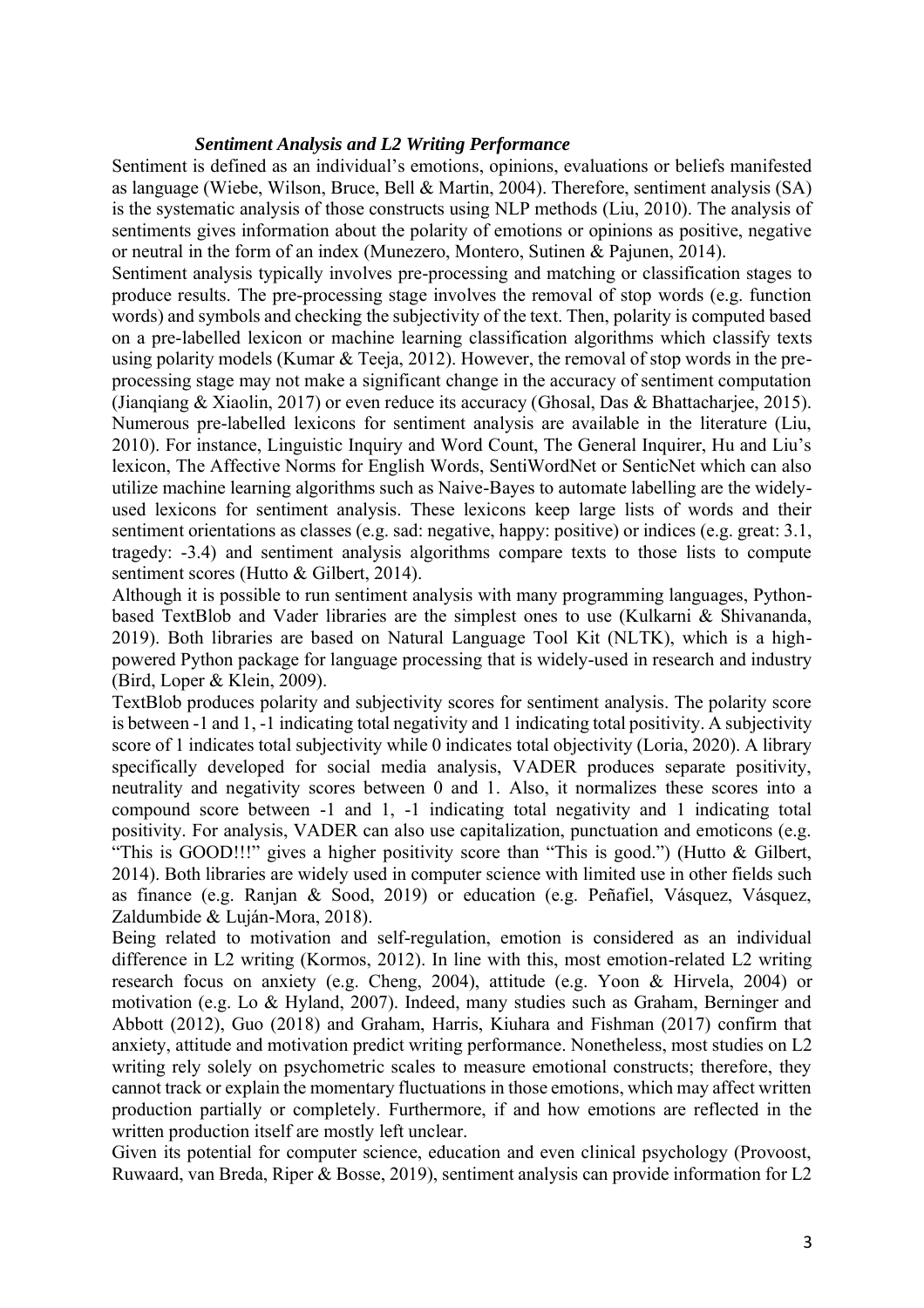### *Sentiment Analysis and L2 Writing Performance*

Sentiment is defined as an individual's emotions, opinions, evaluations or beliefs manifested as language (Wiebe, Wilson, Bruce, Bell & Martin, 2004). Therefore, sentiment analysis (SA) is the systematic analysis of those constructs using NLP methods (Liu, 2010). The analysis of sentiments gives information about the polarity of emotions or opinions as positive, negative or neutral in the form of an index (Munezero, Montero, Sutinen & Pajunen, 2014).

Sentiment analysis typically involves pre-processing and matching or classification stages to produce results. The pre-processing stage involves the removal of stop words (e.g. function words) and symbols and checking the subjectivity of the text. Then, polarity is computed based on a pre-labelled lexicon or machine learning classification algorithms which classify texts using polarity models (Kumar & Teeja, 2012). However, the removal of stop words in the preprocessing stage may not make a significant change in the accuracy of sentiment computation (Jianqiang & Xiaolin, 2017) or even reduce its accuracy (Ghosal, Das & Bhattacharjee, 2015). Numerous pre-labelled lexicons for sentiment analysis are available in the literature (Liu, 2010). For instance, Linguistic Inquiry and Word Count, The General Inquirer, Hu and Liu's lexicon, The Affective Norms for English Words, SentiWordNet or SenticNet which can also utilize machine learning algorithms such as Naive-Bayes to automate labelling are the widelyused lexicons for sentiment analysis. These lexicons keep large lists of words and their sentiment orientations as classes (e.g. sad: negative, happy: positive) or indices (e.g. great: 3.1, tragedy: -3.4) and sentiment analysis algorithms compare texts to those lists to compute sentiment scores (Hutto & Gilbert, 2014).

Although it is possible to run sentiment analysis with many programming languages, Pythonbased TextBlob and Vader libraries are the simplest ones to use (Kulkarni & Shivananda, 2019). Both libraries are based on Natural Language Tool Kit (NLTK), which is a highpowered Python package for language processing that is widely-used in research and industry (Bird, Loper & Klein, 2009).

TextBlob produces polarity and subjectivity scores for sentiment analysis. The polarity score is between -1 and 1, -1 indicating total negativity and 1 indicating total positivity. A subjectivity score of 1 indicates total subjectivity while 0 indicates total objectivity (Loria, 2020). A library specifically developed for social media analysis, VADER produces separate positivity, neutrality and negativity scores between 0 and 1. Also, it normalizes these scores into a compound score between -1 and 1, -1 indicating total negativity and 1 indicating total positivity. For analysis, VADER can also use capitalization, punctuation and emoticons (e.g. "This is GOOD!!!" gives a higher positivity score than "This is good.") (Hutto & Gilbert, 2014). Both libraries are widely used in computer science with limited use in other fields such as finance (e.g. Ranjan & Sood, 2019) or education (e.g. Peñafiel, Vásquez, Vásquez, Zaldumbide & Luján-Mora, 2018).

Being related to motivation and self-regulation, emotion is considered as an individual difference in L2 writing (Kormos, 2012). In line with this, most emotion-related L2 writing research focus on anxiety (e.g. Cheng, 2004), attitude (e.g. Yoon & Hirvela, 2004) or motivation (e.g. Lo & Hyland, 2007). Indeed, many studies such as Graham, Berninger and Abbott (2012), Guo (2018) and Graham, Harris, Kiuhara and Fishman (2017) confirm that anxiety, attitude and motivation predict writing performance. Nonetheless, most studies on L2 writing rely solely on psychometric scales to measure emotional constructs; therefore, they cannot track or explain the momentary fluctuations in those emotions, which may affect written production partially or completely. Furthermore, if and how emotions are reflected in the written production itself are mostly left unclear.

Given its potential for computer science, education and even clinical psychology (Provoost, Ruwaard, van Breda, Riper & Bosse, 2019), sentiment analysis can provide information for L2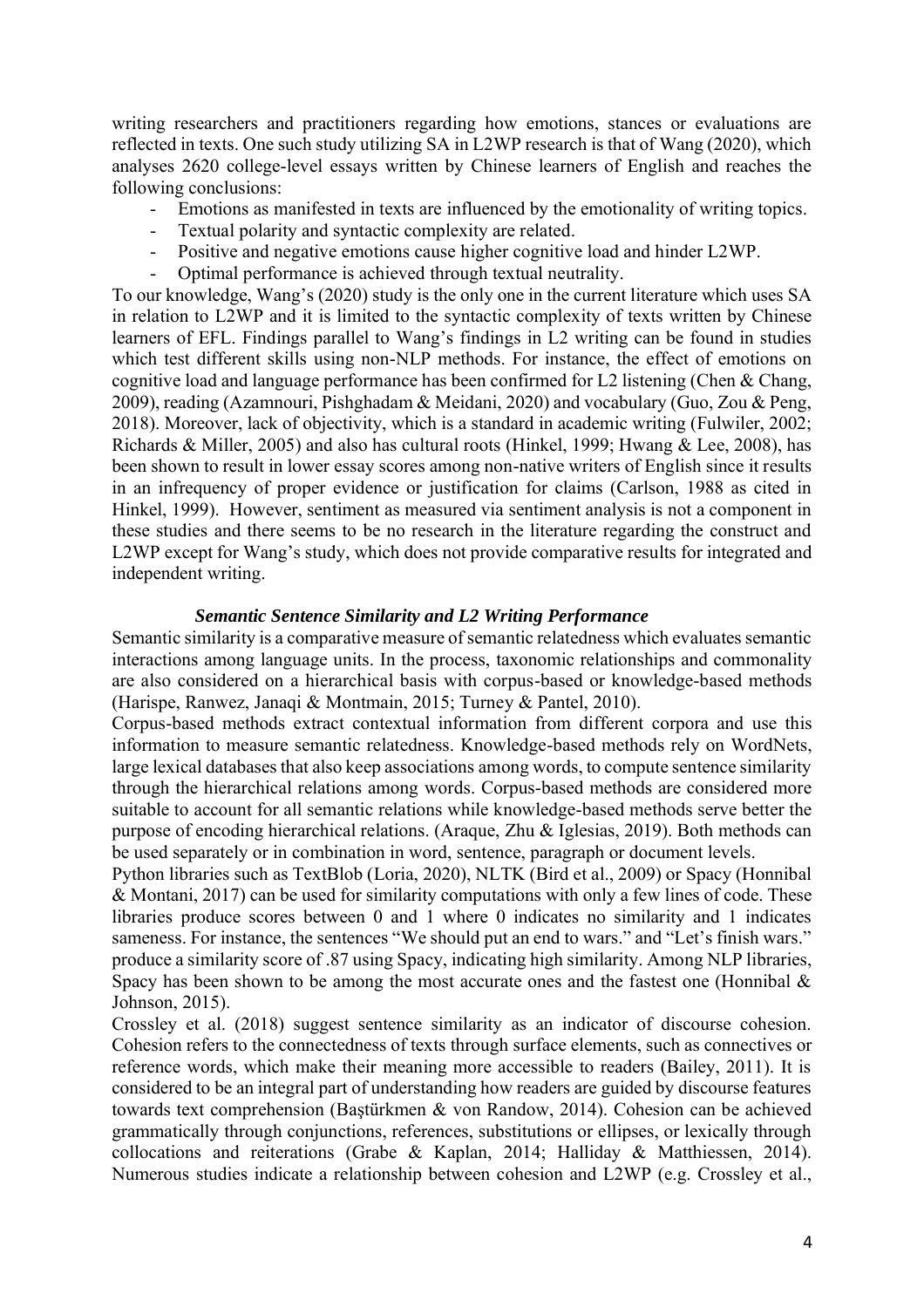writing researchers and practitioners regarding how emotions, stances or evaluations are reflected in texts. One such study utilizing SA in L2WP research is that of Wang (2020), which analyses 2620 college-level essays written by Chinese learners of English and reaches the following conclusions:

- Emotions as manifested in texts are influenced by the emotionality of writing topics.
- Textual polarity and syntactic complexity are related.
- Positive and negative emotions cause higher cognitive load and hinder L2WP.
- Optimal performance is achieved through textual neutrality.

To our knowledge, Wang's (2020) study is the only one in the current literature which uses SA in relation to L2WP and it is limited to the syntactic complexity of texts written by Chinese learners of EFL. Findings parallel to Wang's findings in L2 writing can be found in studies which test different skills using non-NLP methods. For instance, the effect of emotions on cognitive load and language performance has been confirmed for L2 listening (Chen & Chang, 2009), reading (Azamnouri, Pishghadam & Meidani, 2020) and vocabulary (Guo, Zou & Peng, 2018). Moreover, lack of objectivity, which is a standard in academic writing (Fulwiler, 2002; Richards & Miller, 2005) and also has cultural roots (Hinkel, 1999; Hwang & Lee, 2008), has been shown to result in lower essay scores among non-native writers of English since it results in an infrequency of proper evidence or justification for claims (Carlson, 1988 as cited in Hinkel, 1999). However, sentiment as measured via sentiment analysis is not a component in these studies and there seems to be no research in the literature regarding the construct and L2WP except for Wang's study, which does not provide comparative results for integrated and independent writing.

### *Semantic Sentence Similarity and L2 Writing Performance*

Semantic similarity is a comparative measure of semantic relatedness which evaluates semantic interactions among language units. In the process, taxonomic relationships and commonality are also considered on a hierarchical basis with corpus-based or knowledge-based methods (Harispe, Ranwez, Janaqi & Montmain, 2015; Turney & Pantel, 2010).

Corpus-based methods extract contextual information from different corpora and use this information to measure semantic relatedness. Knowledge-based methods rely on WordNets, large lexical databases that also keep associations among words, to compute sentence similarity through the hierarchical relations among words. Corpus-based methods are considered more suitable to account for all semantic relations while knowledge-based methods serve better the purpose of encoding hierarchical relations. (Araque, Zhu & Iglesias, 2019). Both methods can be used separately or in combination in word, sentence, paragraph or document levels.

Python libraries such as TextBlob (Loria, 2020), NLTK (Bird et al., 2009) or Spacy (Honnibal & Montani, 2017) can be used for similarity computations with only a few lines of code. These libraries produce scores between 0 and 1 where 0 indicates no similarity and 1 indicates sameness. For instance, the sentences "We should put an end to wars." and "Let's finish wars." produce a similarity score of .87 using Spacy, indicating high similarity. Among NLP libraries, Spacy has been shown to be among the most accurate ones and the fastest one (Honnibal  $\&$ Johnson, 2015).

Crossley et al. (2018) suggest sentence similarity as an indicator of discourse cohesion. Cohesion refers to the connectedness of texts through surface elements, such as connectives or reference words, which make their meaning more accessible to readers (Bailey, 2011). It is considered to be an integral part of understanding how readers are guided by discourse features towards text comprehension (Baştürkmen & von Randow, 2014). Cohesion can be achieved grammatically through conjunctions, references, substitutions or ellipses, or lexically through collocations and reiterations (Grabe & Kaplan, 2014; Halliday & Matthiessen, 2014). Numerous studies indicate a relationship between cohesion and L2WP (e.g. Crossley et al.,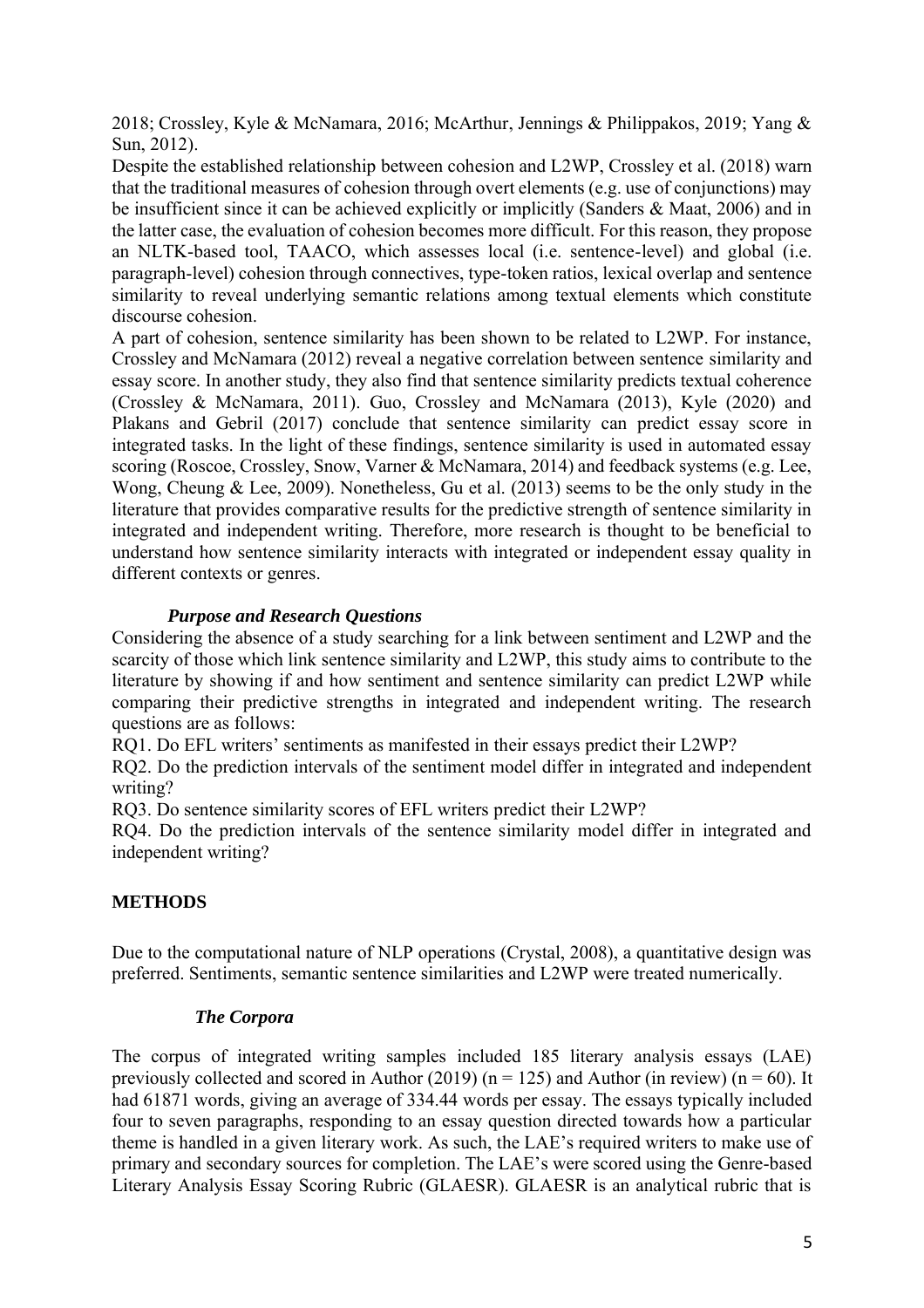2018; Crossley, Kyle & McNamara, 2016; McArthur, Jennings & Philippakos, 2019; Yang & Sun, 2012).

Despite the established relationship between cohesion and L2WP, Crossley et al. (2018) warn that the traditional measures of cohesion through overt elements (e.g. use of conjunctions) may be insufficient since it can be achieved explicitly or implicitly (Sanders & Maat, 2006) and in the latter case, the evaluation of cohesion becomes more difficult. For this reason, they propose an NLTK-based tool, TAACO, which assesses local (i.e. sentence-level) and global (i.e. paragraph-level) cohesion through connectives, type-token ratios, lexical overlap and sentence similarity to reveal underlying semantic relations among textual elements which constitute discourse cohesion.

A part of cohesion, sentence similarity has been shown to be related to L2WP. For instance, Crossley and McNamara (2012) reveal a negative correlation between sentence similarity and essay score. In another study, they also find that sentence similarity predicts textual coherence (Crossley & McNamara, 2011). Guo, Crossley and McNamara (2013), Kyle (2020) and Plakans and Gebril (2017) conclude that sentence similarity can predict essay score in integrated tasks. In the light of these findings, sentence similarity is used in automated essay scoring (Roscoe, Crossley, Snow, Varner & McNamara, 2014) and feedback systems (e.g. Lee, Wong, Cheung & Lee, 2009). Nonetheless, Gu et al. (2013) seems to be the only study in the literature that provides comparative results for the predictive strength of sentence similarity in integrated and independent writing. Therefore, more research is thought to be beneficial to understand how sentence similarity interacts with integrated or independent essay quality in different contexts or genres.

# *Purpose and Research Questions*

Considering the absence of a study searching for a link between sentiment and L2WP and the scarcity of those which link sentence similarity and L2WP, this study aims to contribute to the literature by showing if and how sentiment and sentence similarity can predict L2WP while comparing their predictive strengths in integrated and independent writing. The research questions are as follows:

RQ1. Do EFL writers' sentiments as manifested in their essays predict their L2WP?

RQ2. Do the prediction intervals of the sentiment model differ in integrated and independent writing?

RQ3. Do sentence similarity scores of EFL writers predict their L2WP?

RQ4. Do the prediction intervals of the sentence similarity model differ in integrated and independent writing?

# **METHODS**

Due to the computational nature of NLP operations (Crystal, 2008), a quantitative design was preferred. Sentiments, semantic sentence similarities and L2WP were treated numerically.

# *The Corpora*

The corpus of integrated writing samples included 185 literary analysis essays (LAE) previously collected and scored in Author (2019) ( $n = 125$ ) and Author (in review) ( $n = 60$ ). It had 61871 words, giving an average of 334.44 words per essay. The essays typically included four to seven paragraphs, responding to an essay question directed towards how a particular theme is handled in a given literary work. As such, the LAE's required writers to make use of primary and secondary sources for completion. The LAE's were scored using the Genre-based Literary Analysis Essay Scoring Rubric (GLAESR). GLAESR is an analytical rubric that is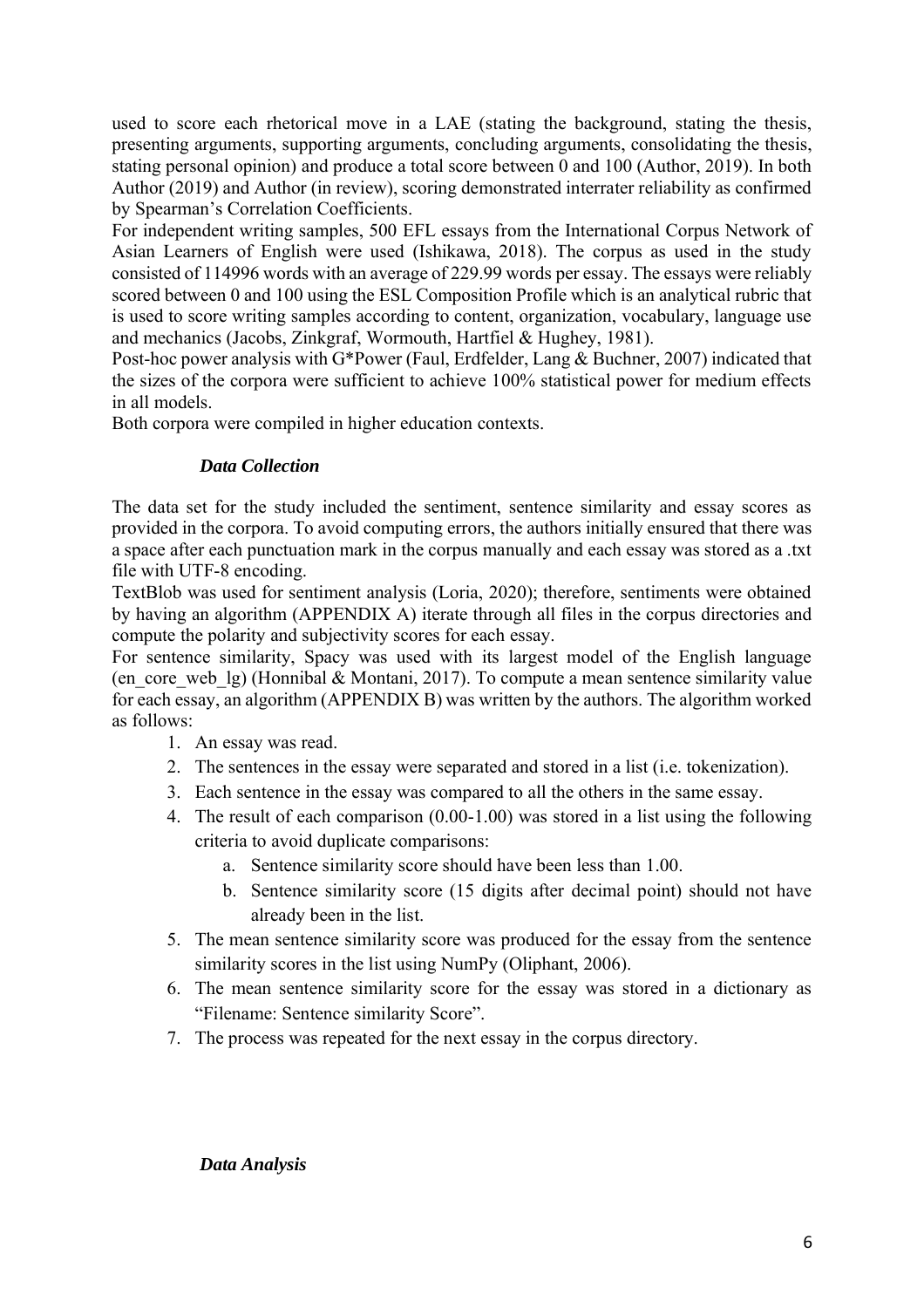used to score each rhetorical move in a LAE (stating the background, stating the thesis, presenting arguments, supporting arguments, concluding arguments, consolidating the thesis, stating personal opinion) and produce a total score between 0 and 100 (Author, 2019). In both Author (2019) and Author (in review), scoring demonstrated interrater reliability as confirmed by Spearman's Correlation Coefficients.

For independent writing samples, 500 EFL essays from the International Corpus Network of Asian Learners of English were used (Ishikawa, 2018). The corpus as used in the study consisted of 114996 words with an average of 229.99 words per essay. The essays were reliably scored between 0 and 100 using the ESL Composition Profile which is an analytical rubric that is used to score writing samples according to content, organization, vocabulary, language use and mechanics (Jacobs, Zinkgraf, Wormouth, Hartfiel & Hughey, 1981).

Post-hoc power analysis with G\*Power (Faul, Erdfelder, Lang & Buchner, 2007) indicated that the sizes of the corpora were sufficient to achieve 100% statistical power for medium effects in all models.

Both corpora were compiled in higher education contexts.

# *Data Collection*

The data set for the study included the sentiment, sentence similarity and essay scores as provided in the corpora. To avoid computing errors, the authors initially ensured that there was a space after each punctuation mark in the corpus manually and each essay was stored as a .txt file with UTF-8 encoding.

TextBlob was used for sentiment analysis (Loria, 2020); therefore, sentiments were obtained by having an algorithm (APPENDIX A) iterate through all files in the corpus directories and compute the polarity and subjectivity scores for each essay.

For sentence similarity, Spacy was used with its largest model of the English language (en\_core\_web\_lg) (Honnibal & Montani, 2017). To compute a mean sentence similarity value for each essay, an algorithm (APPENDIX B) was written by the authors. The algorithm worked as follows:

- 1. An essay was read.
- 2. The sentences in the essay were separated and stored in a list (i.e. tokenization).
- 3. Each sentence in the essay was compared to all the others in the same essay.
- 4. The result of each comparison (0.00-1.00) was stored in a list using the following criteria to avoid duplicate comparisons:
	- a. Sentence similarity score should have been less than 1.00.
	- b. Sentence similarity score (15 digits after decimal point) should not have already been in the list.
- 5. The mean sentence similarity score was produced for the essay from the sentence similarity scores in the list using NumPy (Oliphant, 2006).
- 6. The mean sentence similarity score for the essay was stored in a dictionary as "Filename: Sentence similarity Score".
- 7. The process was repeated for the next essay in the corpus directory.

## *Data Analysis*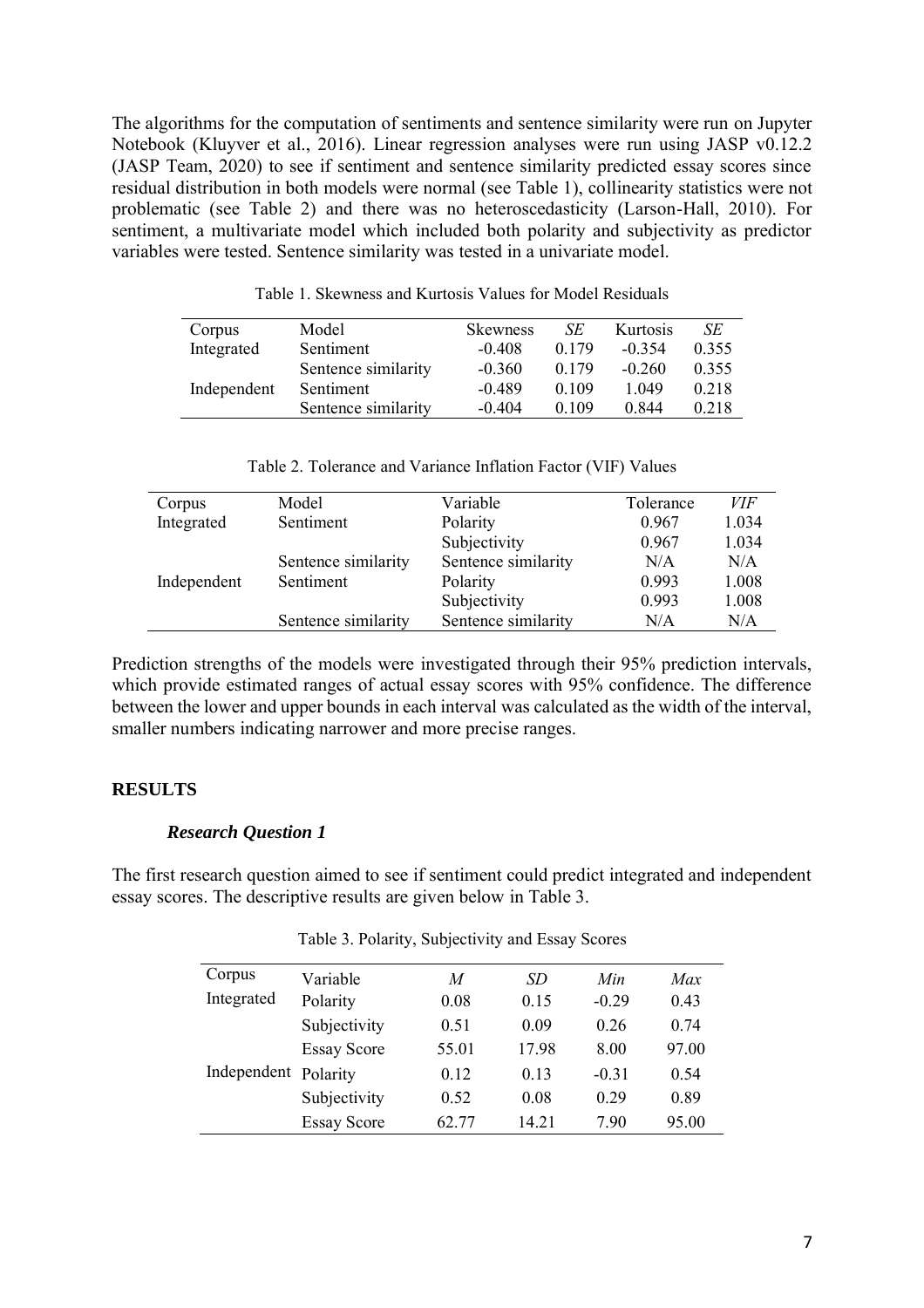The algorithms for the computation of sentiments and sentence similarity were run on Jupyter Notebook (Kluyver et al., 2016). Linear regression analyses were run using JASP v0.12.2 (JASP Team, 2020) to see if sentiment and sentence similarity predicted essay scores since residual distribution in both models were normal (see Table 1), collinearity statistics were not problematic (see Table 2) and there was no heteroscedasticity (Larson-Hall, 2010). For sentiment, a multivariate model which included both polarity and subjectivity as predictor variables were tested. Sentence similarity was tested in a univariate model.

| Corpus      | Model               | <b>Skewness</b> | SЕ    | Kurtosis | SE    |
|-------------|---------------------|-----------------|-------|----------|-------|
| Integrated  | Sentiment           | $-0.408$        | 0.179 | $-0.354$ | 0.355 |
|             | Sentence similarity | $-0.360$        | 0.179 | $-0.260$ | 0.355 |
| Independent | Sentiment           | $-0.489$        | 0.109 | 1 049    | 0.218 |
|             | Sentence similarity | $-0.404$        | 0.109 | 0.844    | 0.218 |

Table 1. Skewness and Kurtosis Values for Model Residuals

Table 2. Tolerance and Variance Inflation Factor (VIF) Values

| Corpus      | Model               | Variable            | Tolerance | <i>VIF</i> |
|-------------|---------------------|---------------------|-----------|------------|
| Integrated  | Sentiment           | Polarity            | 0.967     | 1.034      |
|             |                     | Subjectivity        | 0.967     | 1.034      |
|             | Sentence similarity | Sentence similarity | N/A       | N/A        |
| Independent | Sentiment           | Polarity            | 0.993     | 1.008      |
|             |                     | Subjectivity        | 0.993     | 1.008      |
|             | Sentence similarity | Sentence similarity | N/A       | N/A        |

Prediction strengths of the models were investigated through their 95% prediction intervals, which provide estimated ranges of actual essay scores with 95% confidence. The difference between the lower and upper bounds in each interval was calculated as the width of the interval, smaller numbers indicating narrower and more precise ranges.

# **RESULTS**

# *Research Question 1*

The first research question aimed to see if sentiment could predict integrated and independent essay scores. The descriptive results are given below in Table 3.

| Corpus      | Variable           | M     | SD    | Min     | Max   |
|-------------|--------------------|-------|-------|---------|-------|
| Integrated  | Polarity           | 0.08  | 0.15  | $-0.29$ | 0.43  |
|             | Subjectivity       | 0.51  | 0.09  | 0.26    | 0.74  |
|             | <b>Essay Score</b> | 55.01 | 17.98 | 8.00    | 97.00 |
| Independent | Polarity           | 0.12  | 0.13  | $-0.31$ | 0.54  |
|             | Subjectivity       | 0.52  | 0.08  | 0.29    | 0.89  |
|             | <b>Essay Score</b> | 62.77 | 14.21 | 7.90    | 95.00 |

Table 3. Polarity, Subjectivity and Essay Scores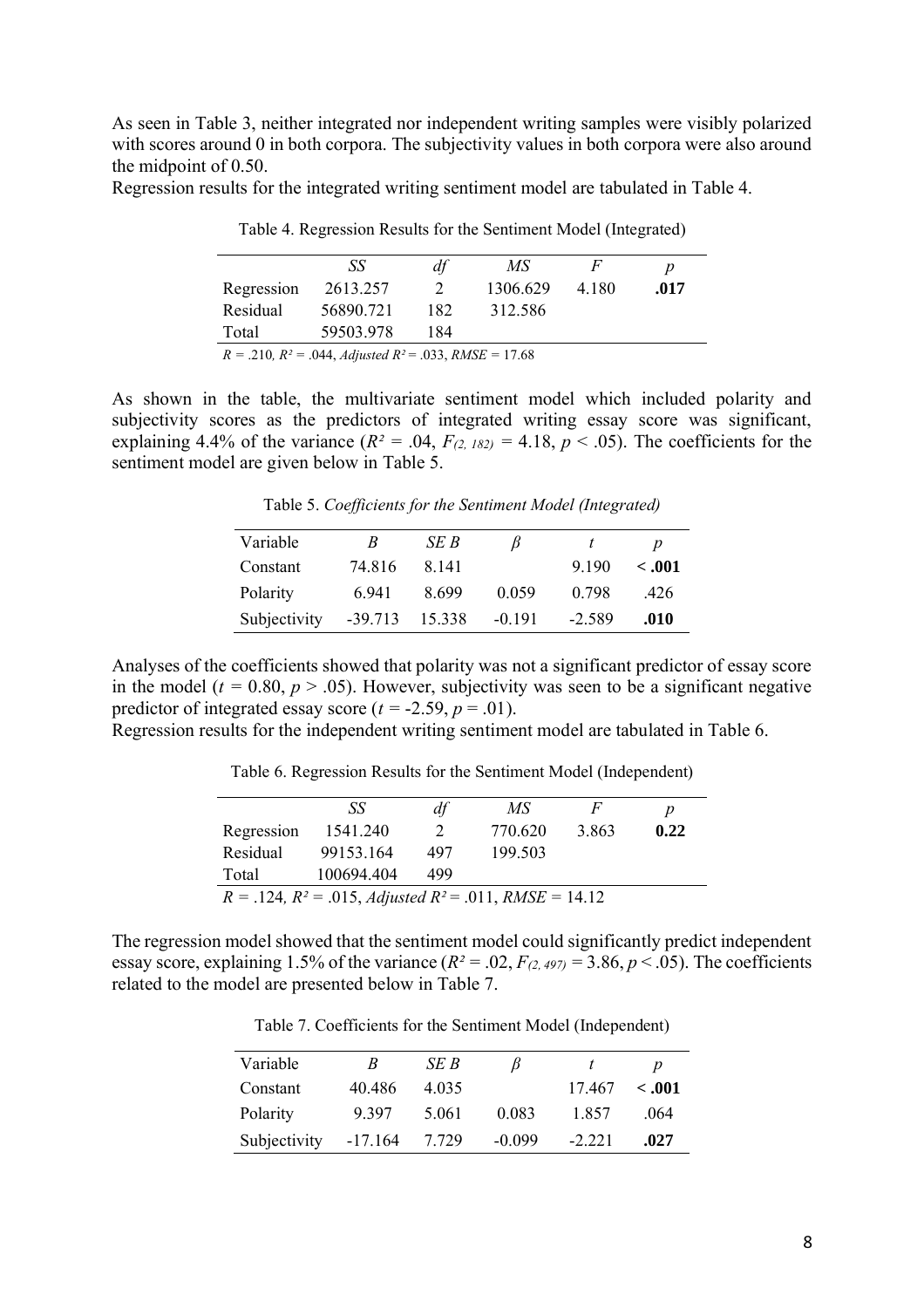As seen in Table 3, neither integrated nor independent writing samples were visibly polarized with scores around 0 in both corpora. The subjectivity values in both corpora were also around the midpoint of 0.50.

Regression results for the integrated writing sentiment model are tabulated in Table 4.

|            | -SS                                                                       | df  | МS       |         | $\boldsymbol{p}$ |
|------------|---------------------------------------------------------------------------|-----|----------|---------|------------------|
| Regression | 2613.257                                                                  |     | 1306.629 | 4 1 8 0 | .017             |
| Residual   | 56890.721                                                                 | 182 | 312.586  |         |                  |
| Total      | 59503.978                                                                 | 184 |          |         |                  |
|            | $P = 210 \cdot P^2 = 0.44 \cdot 11 \cdot 112 \cdot 022 \cdot 016E = 1760$ |     |          |         |                  |

Table 4. Regression Results for the Sentiment Model (Integrated)

*R =* .210*, R² =* .044, *Adjusted R²* = .033, *RMSE =* 17.68

As shown in the table, the multivariate sentiment model which included polarity and subjectivity scores as the predictors of integrated writing essay score was significant, explaining 4.4% of the variance  $(R^2 = .04, F_{(2, 182)} = 4.18, p < .05)$ . The coefficients for the sentiment model are given below in Table 5.

Table 5. *Coefficients for the Sentiment Model (Integrated)*

| Variable     | B       | SE B   |          |          | p       |
|--------------|---------|--------|----------|----------|---------|
| Constant     | 74.816  | 8 14 1 |          | 9 1 9 0  | $-.001$ |
| Polarity     | 6.941   | 8699   | 0.059    | 0.798    | .426    |
| Subjectivity | -39.713 | 15.338 | $-0.191$ | $-2.589$ | .010    |

Analyses of the coefficients showed that polarity was not a significant predictor of essay score in the model ( $t = 0.80$ ,  $p > .05$ ). However, subjectivity was seen to be a significant negative predictor of integrated essay score  $(t = -2.59, p = .01)$ .

Regression results for the independent writing sentiment model are tabulated in Table 6.

Table 6. Regression Results for the Sentiment Model (Independent)

|                                                                                | SS         | df  | MS      | F     | p    |  |
|--------------------------------------------------------------------------------|------------|-----|---------|-------|------|--|
| Regression                                                                     | 1541.240   |     | 770.620 | 3.863 | 0.22 |  |
| Residual                                                                       | 99153.164  | 497 | 199.503 |       |      |  |
| Total                                                                          | 100694.404 | 499 |         |       |      |  |
| $R = .124$ , $R^2 = .015$ , <i>Adjusted</i> $R^2 = .011$ , <i>RMSE</i> = 14.12 |            |     |         |       |      |  |

The regression model showed that the sentiment model could significantly predict independent essay score, explaining 1.5% of the variance  $(R^2 = .02, F_{(2,497)} = 3.86, p < .05)$ . The coefficients related to the model are presented below in Table 7.

Table 7. Coefficients for the Sentiment Model (Independent)

| Variable     | R         | SE B  | B        |          | $\boldsymbol{D}$ |
|--------------|-----------|-------|----------|----------|------------------|
| Constant     | 40.486    | 4.035 |          | 17467    | < .001           |
| Polarity     | 9 3 9 7   | 5.061 | 0.083    | 1857     | .064             |
| Subjectivity | $-17.164$ | 7.729 | $-0.099$ | $-2,221$ | .027             |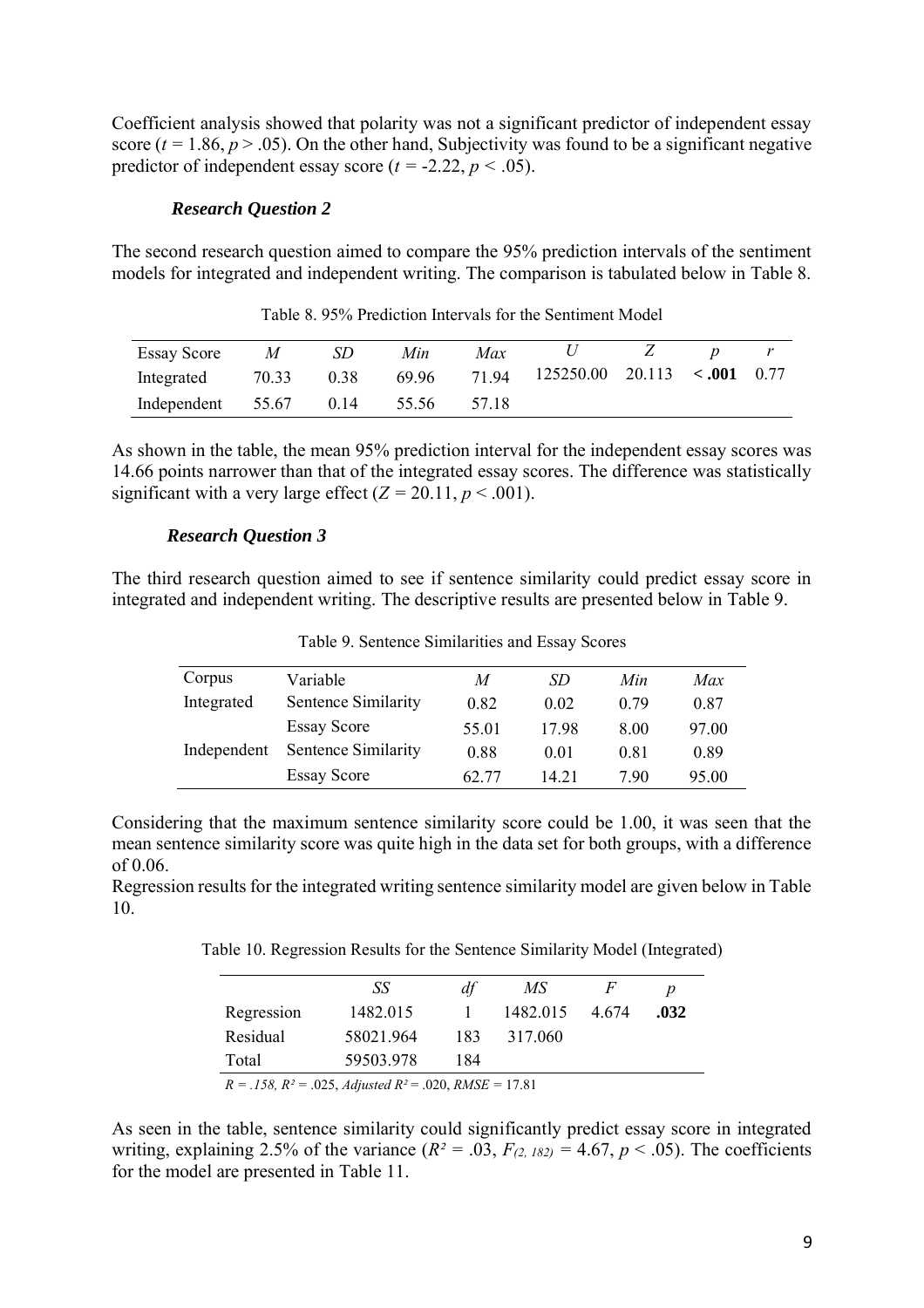Coefficient analysis showed that polarity was not a significant predictor of independent essay score ( $t = 1.86$ ,  $p > .05$ ). On the other hand, Subjectivity was found to be a significant negative predictor of independent essay score ( $t = -2.22$ ,  $p < .05$ ).

### *Research Question 2*

The second research question aimed to compare the 95% prediction intervals of the sentiment models for integrated and independent writing. The comparison is tabulated below in Table 8.

| <b>Essay Score</b>           | $\overline{M}$ | SD   | Min | Max   | U                                                     |  |  |
|------------------------------|----------------|------|-----|-------|-------------------------------------------------------|--|--|
| Integrated 70.33             |                | 0.38 |     |       | $69.96$ $71.94$ $125250.00$ $20.113$ $\lt 0.001$ 0.77 |  |  |
| Independent 55.67 0.14 55.56 |                |      |     | 57.18 |                                                       |  |  |

Table 8. 95% Prediction Intervals for the Sentiment Model

As shown in the table, the mean 95% prediction interval for the independent essay scores was 14.66 points narrower than that of the integrated essay scores. The difference was statistically significant with a very large effect  $(Z = 20.11, p \le 0.001)$ .

#### *Research Question 3*

The third research question aimed to see if sentence similarity could predict essay score in integrated and independent writing. The descriptive results are presented below in Table 9.

| Corpus      | Variable            | M     | SD    | Min  | Max   |
|-------------|---------------------|-------|-------|------|-------|
| Integrated  | Sentence Similarity | 0.82  | 0.02  | 0.79 | 0.87  |
|             | <b>Essay Score</b>  | 55.01 | 1798  | 8.00 | 97.00 |
| Independent | Sentence Similarity | 0.88  | 0.01  | 0.81 | 0.89  |
|             | <b>Essay Score</b>  | 62.77 | 14 21 | 790  | 95.00 |

Table 9. Sentence Similarities and Essay Scores

Considering that the maximum sentence similarity score could be 1.00, it was seen that the mean sentence similarity score was quite high in the data set for both groups, with a difference of 0.06.

Regression results for the integrated writing sentence similarity model are given below in Table 10.

Table 10. Regression Results for the Sentence Similarity Model (Integrated)

|                                                                                | SS        | df  | MS       | F     |      |  |
|--------------------------------------------------------------------------------|-----------|-----|----------|-------|------|--|
| Regression                                                                     | 1482.015  |     | 1482.015 | 4 674 | .032 |  |
| Residual                                                                       | 58021.964 | 183 | 317.060  |       |      |  |
| Total                                                                          | 59503.978 | 184 |          |       |      |  |
| $R = .158$ , $R^2 = .025$ , <i>Adjusted</i> $R^2 = .020$ , <i>RMSE</i> = 17.81 |           |     |          |       |      |  |

As seen in the table, sentence similarity could significantly predict essay score in integrated writing, explaining 2.5% of the variance  $(R^2 = .03, F_{(2, 182)} = 4.67, p < .05)$ . The coefficients for the model are presented in Table 11.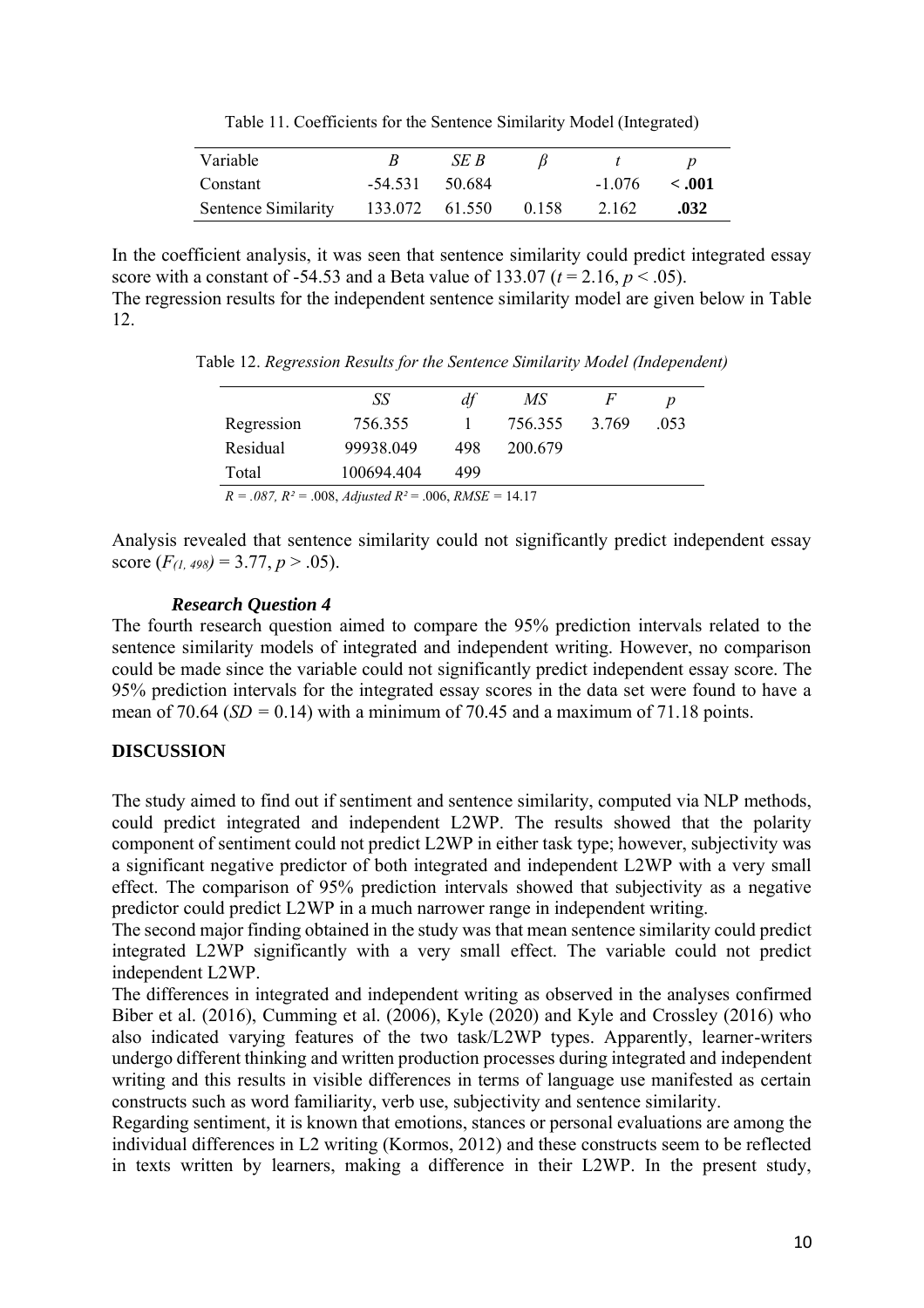Table 11. Coefficients for the Sentence Similarity Model (Integrated)

| Variable                                 |                  | SE B |                   |      |
|------------------------------------------|------------------|------|-------------------|------|
| Constant                                 | $-54.531$ 50.684 |      | $-1.076 \le .001$ |      |
| Sentence Similarity 133.072 61.550 0.158 |                  |      | 2.162             | .032 |

In the coefficient analysis, it was seen that sentence similarity could predict integrated essay score with a constant of -54.53 and a Beta value of 133.07 ( $t = 2.16$ ,  $p < .05$ ). The regression results for the independent sentence similarity model are given below in Table

12.

Table 12. *Regression Results for the Sentence Similarity Model (Independent)*

|                                                                     | SS         | df  | MS      | F     |      |  |  |
|---------------------------------------------------------------------|------------|-----|---------|-------|------|--|--|
| Regression                                                          | 756.355    |     | 756.355 | 3.769 | -053 |  |  |
| Residual                                                            | 99938.049  | 498 | 200.679 |       |      |  |  |
| Total                                                               | 100694.404 | 499 |         |       |      |  |  |
| $R = 0.087$ , $R^2 = 0.008$ , Adjusted $R^2 = 0.006$ , RMSE = 14.17 |            |     |         |       |      |  |  |

Analysis revealed that sentence similarity could not significantly predict independent essay score  $(F_{(1, 498)} = 3.77, p > .05)$ .

## *Research Question 4*

The fourth research question aimed to compare the 95% prediction intervals related to the sentence similarity models of integrated and independent writing. However, no comparison could be made since the variable could not significantly predict independent essay score. The 95% prediction intervals for the integrated essay scores in the data set were found to have a mean of 70.64 ( $SD = 0.14$ ) with a minimum of 70.45 and a maximum of 71.18 points.

# **DISCUSSION**

The study aimed to find out if sentiment and sentence similarity, computed via NLP methods, could predict integrated and independent L2WP. The results showed that the polarity component of sentiment could not predict L2WP in either task type; however, subjectivity was a significant negative predictor of both integrated and independent L2WP with a very small effect. The comparison of 95% prediction intervals showed that subjectivity as a negative predictor could predict L2WP in a much narrower range in independent writing.

The second major finding obtained in the study was that mean sentence similarity could predict integrated L2WP significantly with a very small effect. The variable could not predict independent L2WP.

The differences in integrated and independent writing as observed in the analyses confirmed Biber et al. (2016), Cumming et al. (2006), Kyle (2020) and Kyle and Crossley (2016) who also indicated varying features of the two task/L2WP types. Apparently, learner-writers undergo different thinking and written production processes during integrated and independent writing and this results in visible differences in terms of language use manifested as certain constructs such as word familiarity, verb use, subjectivity and sentence similarity.

Regarding sentiment, it is known that emotions, stances or personal evaluations are among the individual differences in L2 writing (Kormos, 2012) and these constructs seem to be reflected in texts written by learners, making a difference in their L2WP. In the present study,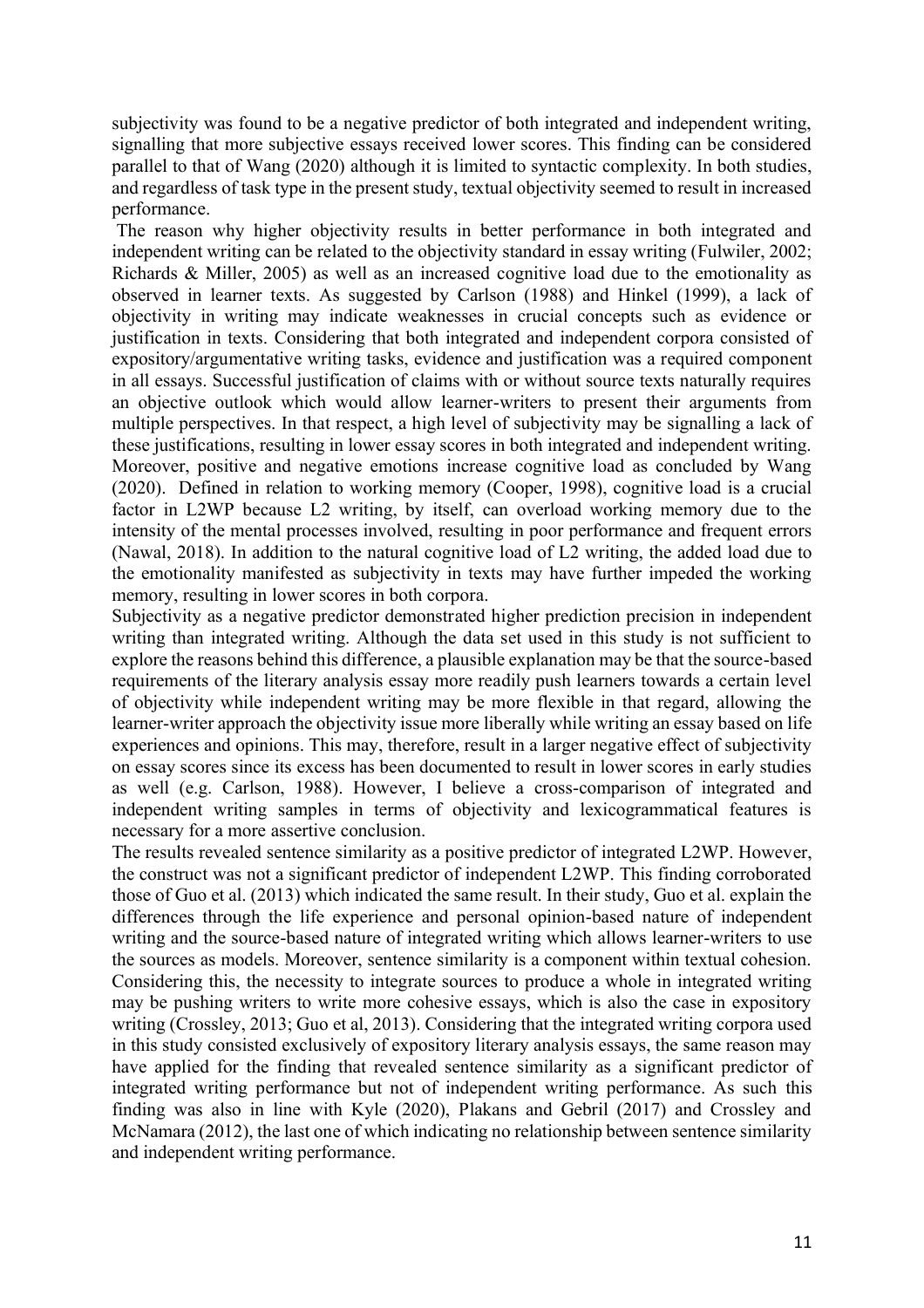subjectivity was found to be a negative predictor of both integrated and independent writing, signalling that more subjective essays received lower scores. This finding can be considered parallel to that of Wang (2020) although it is limited to syntactic complexity. In both studies, and regardless of task type in the present study, textual objectivity seemed to result in increased performance.

The reason why higher objectivity results in better performance in both integrated and independent writing can be related to the objectivity standard in essay writing (Fulwiler, 2002; Richards & Miller, 2005) as well as an increased cognitive load due to the emotionality as observed in learner texts. As suggested by Carlson (1988) and Hinkel (1999), a lack of objectivity in writing may indicate weaknesses in crucial concepts such as evidence or justification in texts. Considering that both integrated and independent corpora consisted of expository/argumentative writing tasks, evidence and justification was a required component in all essays. Successful justification of claims with or without source texts naturally requires an objective outlook which would allow learner-writers to present their arguments from multiple perspectives. In that respect, a high level of subjectivity may be signalling a lack of these justifications, resulting in lower essay scores in both integrated and independent writing. Moreover, positive and negative emotions increase cognitive load as concluded by Wang (2020). Defined in relation to working memory (Cooper, 1998), cognitive load is a crucial factor in L2WP because L2 writing, by itself, can overload working memory due to the intensity of the mental processes involved, resulting in poor performance and frequent errors (Nawal, 2018). In addition to the natural cognitive load of L2 writing, the added load due to the emotionality manifested as subjectivity in texts may have further impeded the working memory, resulting in lower scores in both corpora.

Subjectivity as a negative predictor demonstrated higher prediction precision in independent writing than integrated writing. Although the data set used in this study is not sufficient to explore the reasons behind this difference, a plausible explanation may be that the source-based requirements of the literary analysis essay more readily push learners towards a certain level of objectivity while independent writing may be more flexible in that regard, allowing the learner-writer approach the objectivity issue more liberally while writing an essay based on life experiences and opinions. This may, therefore, result in a larger negative effect of subjectivity on essay scores since its excess has been documented to result in lower scores in early studies as well (e.g. Carlson, 1988). However, I believe a cross-comparison of integrated and independent writing samples in terms of objectivity and lexicogrammatical features is necessary for a more assertive conclusion.

The results revealed sentence similarity as a positive predictor of integrated L2WP. However, the construct was not a significant predictor of independent L2WP. This finding corroborated those of Guo et al. (2013) which indicated the same result. In their study, Guo et al. explain the differences through the life experience and personal opinion-based nature of independent writing and the source-based nature of integrated writing which allows learner-writers to use the sources as models. Moreover, sentence similarity is a component within textual cohesion. Considering this, the necessity to integrate sources to produce a whole in integrated writing may be pushing writers to write more cohesive essays, which is also the case in expository writing (Crossley, 2013; Guo et al, 2013). Considering that the integrated writing corpora used in this study consisted exclusively of expository literary analysis essays, the same reason may have applied for the finding that revealed sentence similarity as a significant predictor of integrated writing performance but not of independent writing performance. As such this finding was also in line with Kyle (2020), Plakans and Gebril (2017) and Crossley and McNamara (2012), the last one of which indicating no relationship between sentence similarity and independent writing performance.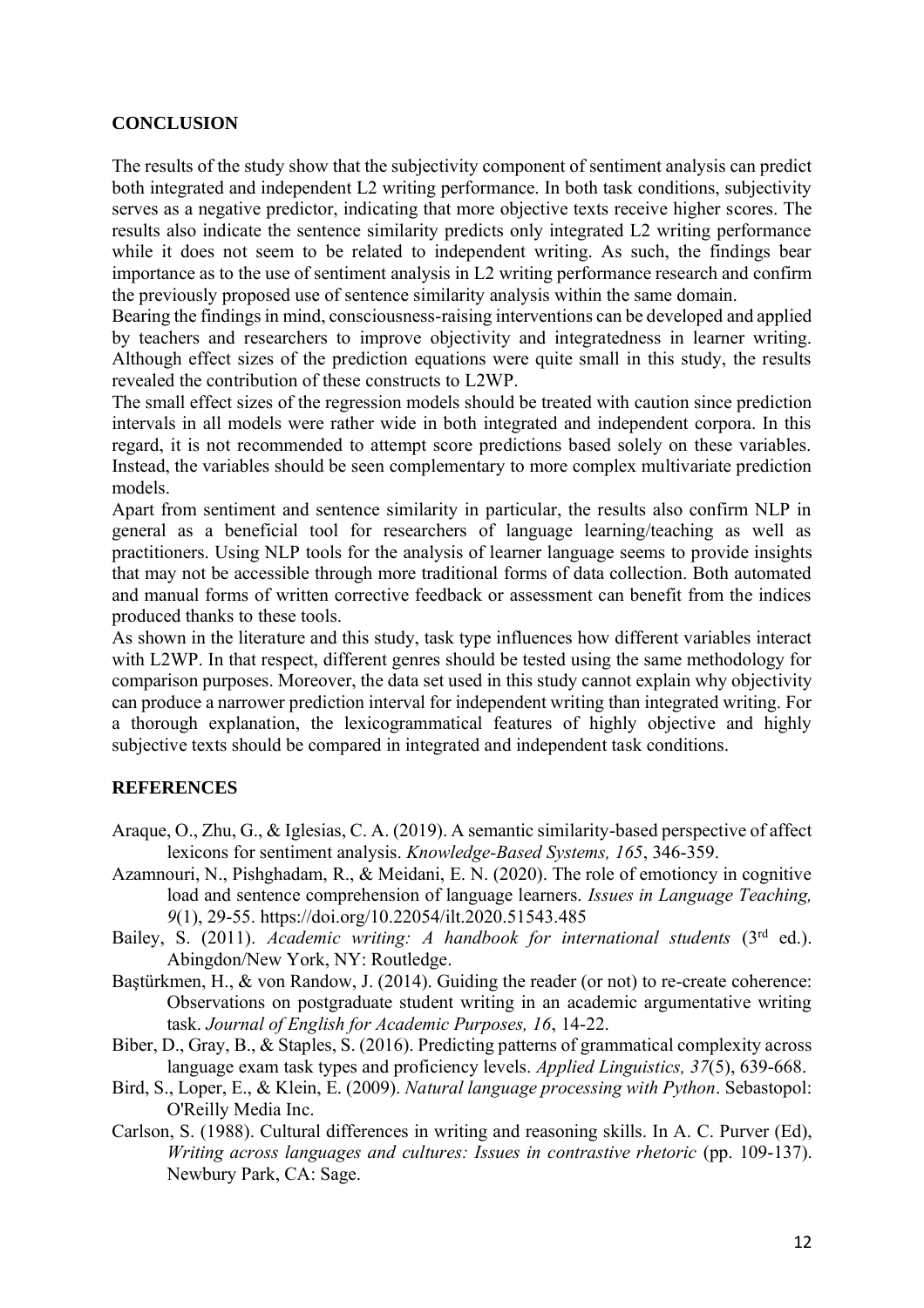## **CONCLUSION**

The results of the study show that the subjectivity component of sentiment analysis can predict both integrated and independent L2 writing performance. In both task conditions, subjectivity serves as a negative predictor, indicating that more objective texts receive higher scores. The results also indicate the sentence similarity predicts only integrated L2 writing performance while it does not seem to be related to independent writing. As such, the findings bear importance as to the use of sentiment analysis in L2 writing performance research and confirm the previously proposed use of sentence similarity analysis within the same domain.

Bearing the findings in mind, consciousness-raising interventions can be developed and applied by teachers and researchers to improve objectivity and integratedness in learner writing. Although effect sizes of the prediction equations were quite small in this study, the results revealed the contribution of these constructs to L2WP.

The small effect sizes of the regression models should be treated with caution since prediction intervals in all models were rather wide in both integrated and independent corpora. In this regard, it is not recommended to attempt score predictions based solely on these variables. Instead, the variables should be seen complementary to more complex multivariate prediction models.

Apart from sentiment and sentence similarity in particular, the results also confirm NLP in general as a beneficial tool for researchers of language learning/teaching as well as practitioners. Using NLP tools for the analysis of learner language seems to provide insights that may not be accessible through more traditional forms of data collection. Both automated and manual forms of written corrective feedback or assessment can benefit from the indices produced thanks to these tools.

As shown in the literature and this study, task type influences how different variables interact with L2WP. In that respect, different genres should be tested using the same methodology for comparison purposes. Moreover, the data set used in this study cannot explain why objectivity can produce a narrower prediction interval for independent writing than integrated writing. For a thorough explanation, the lexicogrammatical features of highly objective and highly subjective texts should be compared in integrated and independent task conditions.

# **REFERENCES**

- Araque, O., Zhu, G., & Iglesias, C. A. (2019). A semantic similarity-based perspective of affect lexicons for sentiment analysis. *Knowledge-Based Systems, 165*, 346-359.
- Azamnouri, N., Pishghadam, R., & Meidani, E. N. (2020). The role of emotioncy in cognitive load and sentence comprehension of language learners. *Issues in Language Teaching, 9*(1), 29-55. https://doi.org/10.22054/ilt.2020.51543.485
- Bailey, S. (2011). *Academic writing: A handbook for international students* (3rd ed.). Abingdon/New York, NY: Routledge.
- Bastürkmen, H., & von Randow, J. (2014). Guiding the reader (or not) to re-create coherence: Observations on postgraduate student writing in an academic argumentative writing task. *Journal of English for Academic Purposes, 16*, 14-22.
- Biber, D., Gray, B., & Staples, S. (2016). Predicting patterns of grammatical complexity across language exam task types and proficiency levels. *Applied Linguistics, 37*(5), 639-668.
- Bird, S., Loper, E., & Klein, E. (2009). *Natural language processing with Python*. Sebastopol: O'Reilly Media Inc.
- Carlson, S. (1988). Cultural differences in writing and reasoning skills. In A. C. Purver (Ed), *Writing across languages and cultures: Issues in contrastive rhetoric* (pp. 109-137). Newbury Park, CA: Sage.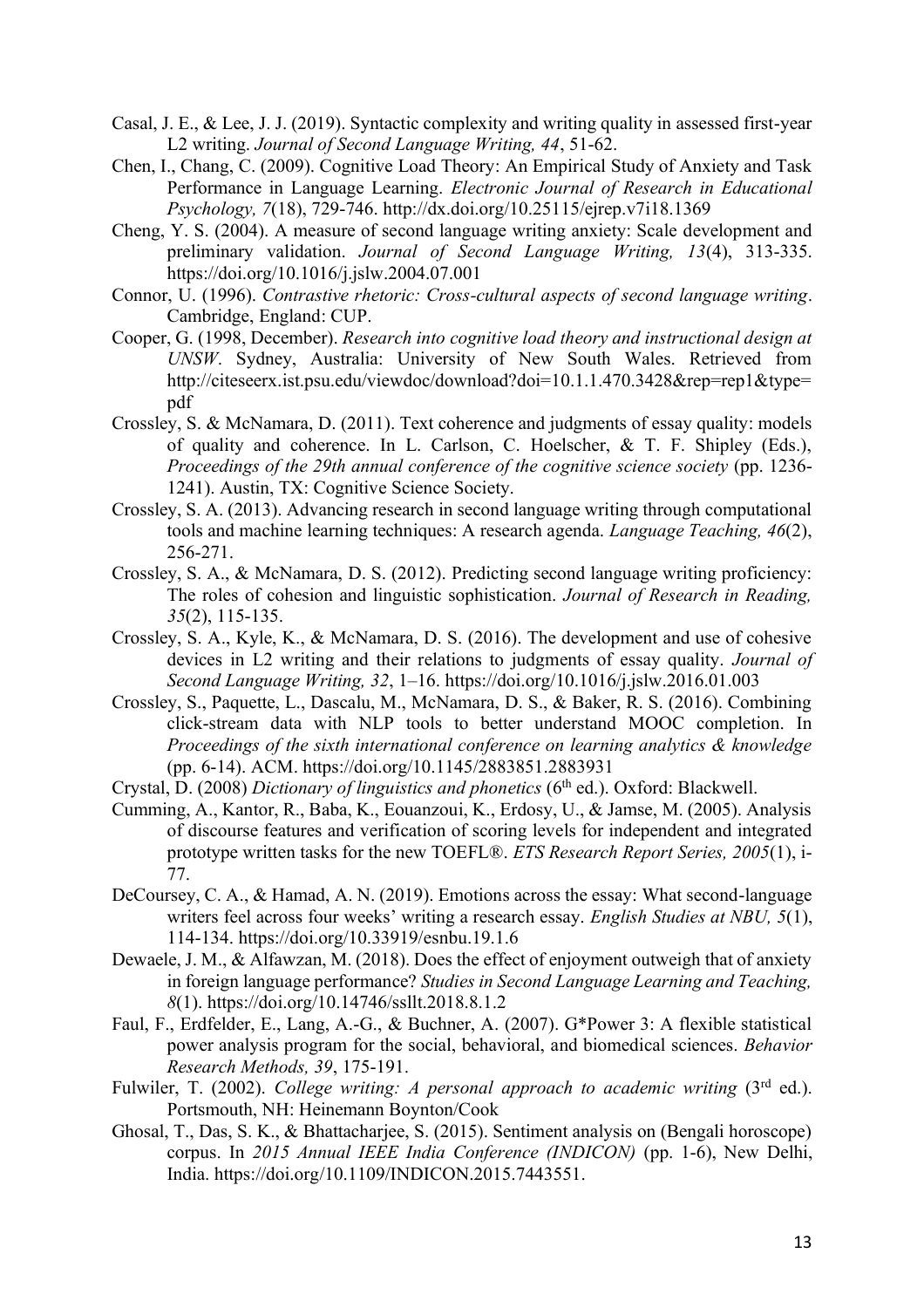- Casal, J. E., & Lee, J. J. (2019). Syntactic complexity and writing quality in assessed first-year L2 writing. *Journal of Second Language Writing, 44*, 51-62.
- Chen, I., Chang, C. (2009). Cognitive Load Theory: An Empirical Study of Anxiety and Task Performance in Language Learning. *Electronic Journal of Research in Educational Psychology, 7*(18), 729-746. http://dx.doi.org/10.25115/ejrep.v7i18.1369
- Cheng, Y. S. (2004). A measure of second language writing anxiety: Scale development and preliminary validation. *Journal of Second Language Writing, 13*(4), 313-335. https://doi.org/10.1016/j.jslw.2004.07.001
- Connor, U. (1996). *Contrastive rhetoric: Cross-cultural aspects of second language writing*. Cambridge, England: CUP.
- Cooper, G. (1998, December). *Research into cognitive load theory and instructional design at UNSW*. Sydney, Australia: University of New South Wales. Retrieved from http://citeseerx.ist.psu.edu/viewdoc/download?doi=10.1.1.470.3428&rep=rep1&type= pdf
- Crossley, S. & McNamara, D. (2011). Text coherence and judgments of essay quality: models of quality and coherence. In L. Carlson, C. Hoelscher, & T. F. Shipley (Eds.), *Proceedings of the 29th annual conference of the cognitive science society* (pp. 1236- 1241). Austin, TX: Cognitive Science Society.
- Crossley, S. A. (2013). Advancing research in second language writing through computational tools and machine learning techniques: A research agenda. *Language Teaching, 46*(2), 256-271.
- Crossley, S. A., & McNamara, D. S. (2012). Predicting second language writing proficiency: The roles of cohesion and linguistic sophistication. *Journal of Research in Reading, 35*(2), 115-135.
- Crossley, S. A., Kyle, K., & McNamara, D. S. (2016). The development and use of cohesive devices in L2 writing and their relations to judgments of essay quality. *Journal of Second Language Writing, 32*, 1–16. https://doi.org/10.1016/j.jslw.2016.01.003
- Crossley, S., Paquette, L., Dascalu, M., McNamara, D. S., & Baker, R. S. (2016). Combining click-stream data with NLP tools to better understand MOOC completion. In *Proceedings of the sixth international conference on learning analytics & knowledge* (pp. 6-14). ACM. https://doi.org/10.1145/2883851.2883931
- Crystal, D. (2008) *Dictionary of linguistics and phonetics* (6<sup>th</sup> ed.). Oxford: Blackwell.
- Cumming, A., Kantor, R., Baba, K., Eouanzoui, K., Erdosy, U., & Jamse, M. (2005). Analysis of discourse features and verification of scoring levels for independent and integrated prototype written tasks for the new TOEFL®. *ETS Research Report Series, 2005*(1), i-77.
- DeCoursey, C. A., & Hamad, A. N. (2019). Emotions across the essay: What second-language writers feel across four weeks' writing a research essay. *English Studies at NBU, 5*(1), 114-134. https://doi.org/10.33919/esnbu.19.1.6
- Dewaele, J. M., & Alfawzan, M. (2018). Does the effect of enjoyment outweigh that of anxiety in foreign language performance? *Studies in Second Language Learning and Teaching, 8*(1). https://doi.org/10.14746/ssllt.2018.8.1.2
- Faul, F., Erdfelder, E., Lang, A.-G., & Buchner, A. (2007). G\*Power 3: A flexible statistical power analysis program for the social, behavioral, and biomedical sciences. *Behavior Research Methods, 39*, 175-191.
- Fulwiler, T. (2002). *College writing: A personal approach to academic writing* (3<sup>rd</sup> ed.). Portsmouth, NH: Heinemann Boynton/Cook
- Ghosal, T., Das, S. K., & Bhattacharjee, S. (2015). Sentiment analysis on (Bengali horoscope) corpus. In *2015 Annual IEEE India Conference (INDICON)* (pp. 1-6), New Delhi, India. https://doi.org/10.1109/INDICON.2015.7443551.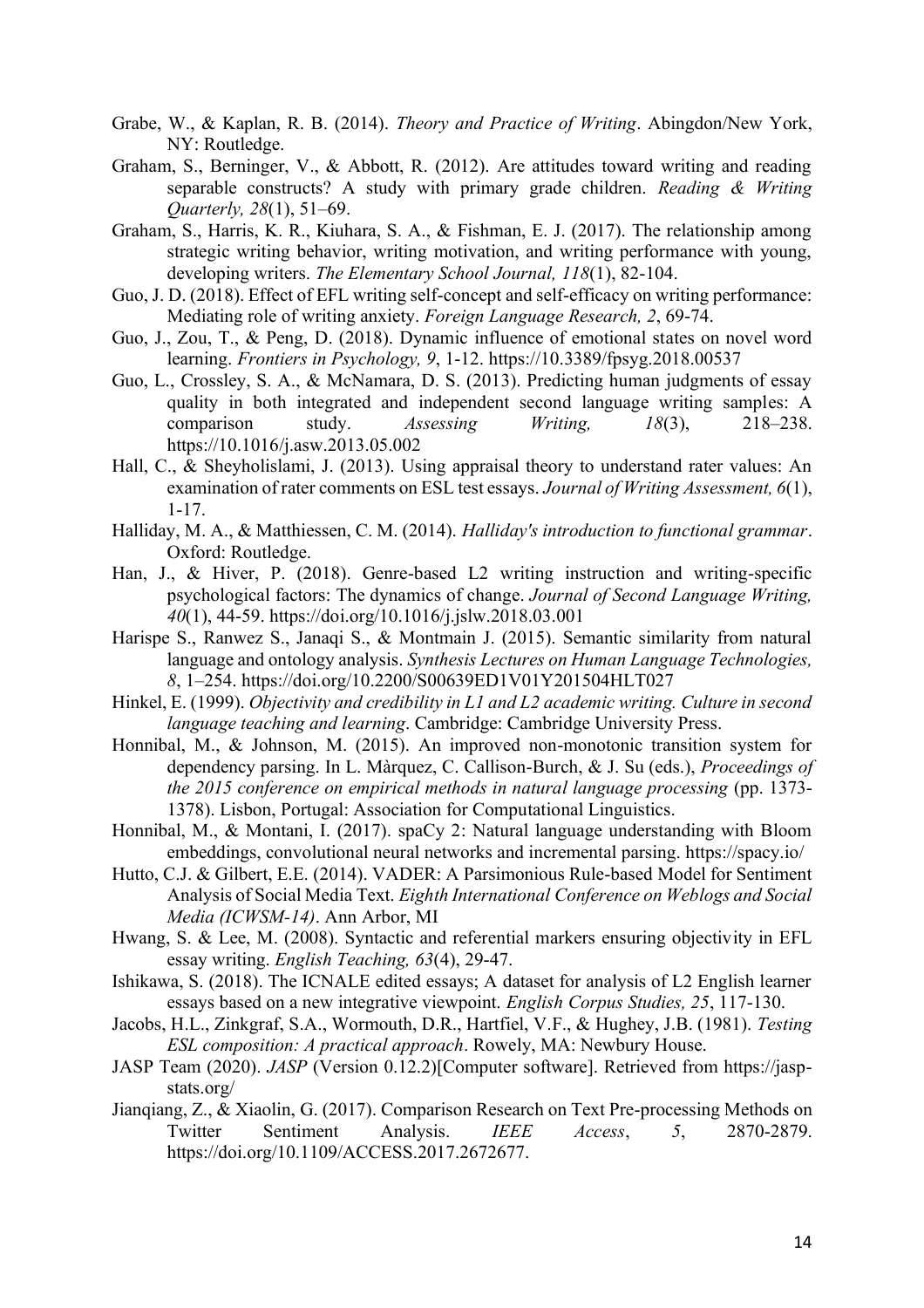- Grabe, W., & Kaplan, R. B. (2014). *Theory and Practice of Writing*. Abingdon/New York, NY: Routledge.
- Graham, S., Berninger, V., & Abbott, R. (2012). Are attitudes toward writing and reading separable constructs? A study with primary grade children. *Reading & Writing Quarterly, 28*(1), 51–69.
- Graham, S., Harris, K. R., Kiuhara, S. A., & Fishman, E. J. (2017). The relationship among strategic writing behavior, writing motivation, and writing performance with young, developing writers. *The Elementary School Journal, 118*(1), 82-104.
- Guo, J. D. (2018). Effect of EFL writing self-concept and self-efficacy on writing performance: Mediating role of writing anxiety. *Foreign Language Research, 2*, 69-74.
- Guo, J., Zou, T., & Peng, D. (2018). Dynamic influence of emotional states on novel word learning. *Frontiers in Psychology, 9*, 1-12. https://10.3389/fpsyg.2018.00537
- Guo, L., Crossley, S. A., & McNamara, D. S. (2013). Predicting human judgments of essay quality in both integrated and independent second language writing samples: A comparison study. *Assessing Writing, 18*(3), 218–238. https://10.1016/j.asw.2013.05.002
- Hall, C., & Sheyholislami, J. (2013). Using appraisal theory to understand rater values: An examination of rater comments on ESL test essays. *Journal of Writing Assessment, 6*(1), 1-17.
- Halliday, M. A., & Matthiessen, C. M. (2014). *Halliday's introduction to functional grammar*. Oxford: Routledge.
- Han, J., & Hiver, P. (2018). Genre-based L2 writing instruction and writing-specific psychological factors: The dynamics of change. *Journal of Second Language Writing, 40*(1), 44-59. https://doi.org/10.1016/j.jslw.2018.03.001
- Harispe S., Ranwez S., Janaqi S., & Montmain J. (2015). Semantic similarity from natural language and ontology analysis. *Synthesis Lectures on Human Language Technologies, 8*, 1–254. https://doi.org/10.2200/S00639ED1V01Y201504HLT027
- Hinkel, E. (1999). *Objectivity and credibility in L1 and L2 academic writing. Culture in second language teaching and learning*. Cambridge: Cambridge University Press.
- Honnibal, M., & Johnson, M. (2015). An improved non-monotonic transition system for dependency parsing. In L. Màrquez, C. Callison-Burch, & J. Su (eds.), *Proceedings of the 2015 conference on empirical methods in natural language processing* (pp. 1373- 1378). Lisbon, Portugal: Association for Computational Linguistics.
- Honnibal, M., & Montani, I. (2017). spaCy 2: Natural language understanding with Bloom embeddings, convolutional neural networks and incremental parsing. https://spacy.io/
- Hutto, C.J. & Gilbert, E.E. (2014). VADER: A Parsimonious Rule-based Model for Sentiment Analysis of Social Media Text. *Eighth International Conference on Weblogs and Social Media (ICWSM-14)*. Ann Arbor, MI
- Hwang, S. & Lee, M. (2008). Syntactic and referential markers ensuring objectivity in EFL essay writing. *English Teaching, 63*(4), 29-47.
- Ishikawa, S. (2018). The ICNALE edited essays; A dataset for analysis of L2 English learner essays based on a new integrative viewpoint. *English Corpus Studies, 25*, 117-130.
- Jacobs, H.L., Zinkgraf, S.A., Wormouth, D.R., Hartfiel, V.F., & Hughey, J.B. (1981). *Testing ESL composition: A practical approach*. Rowely, MA: Newbury House.
- JASP Team (2020). *JASP* (Version 0.12.2)[Computer software]. Retrieved from https://jaspstats.org/
- Jianqiang, Z., & Xiaolin, G. (2017). Comparison Research on Text Pre-processing Methods on Twitter Sentiment Analysis. *IEEE Access*, *5*, 2870-2879. https://doi.org/10.1109/ACCESS.2017.2672677.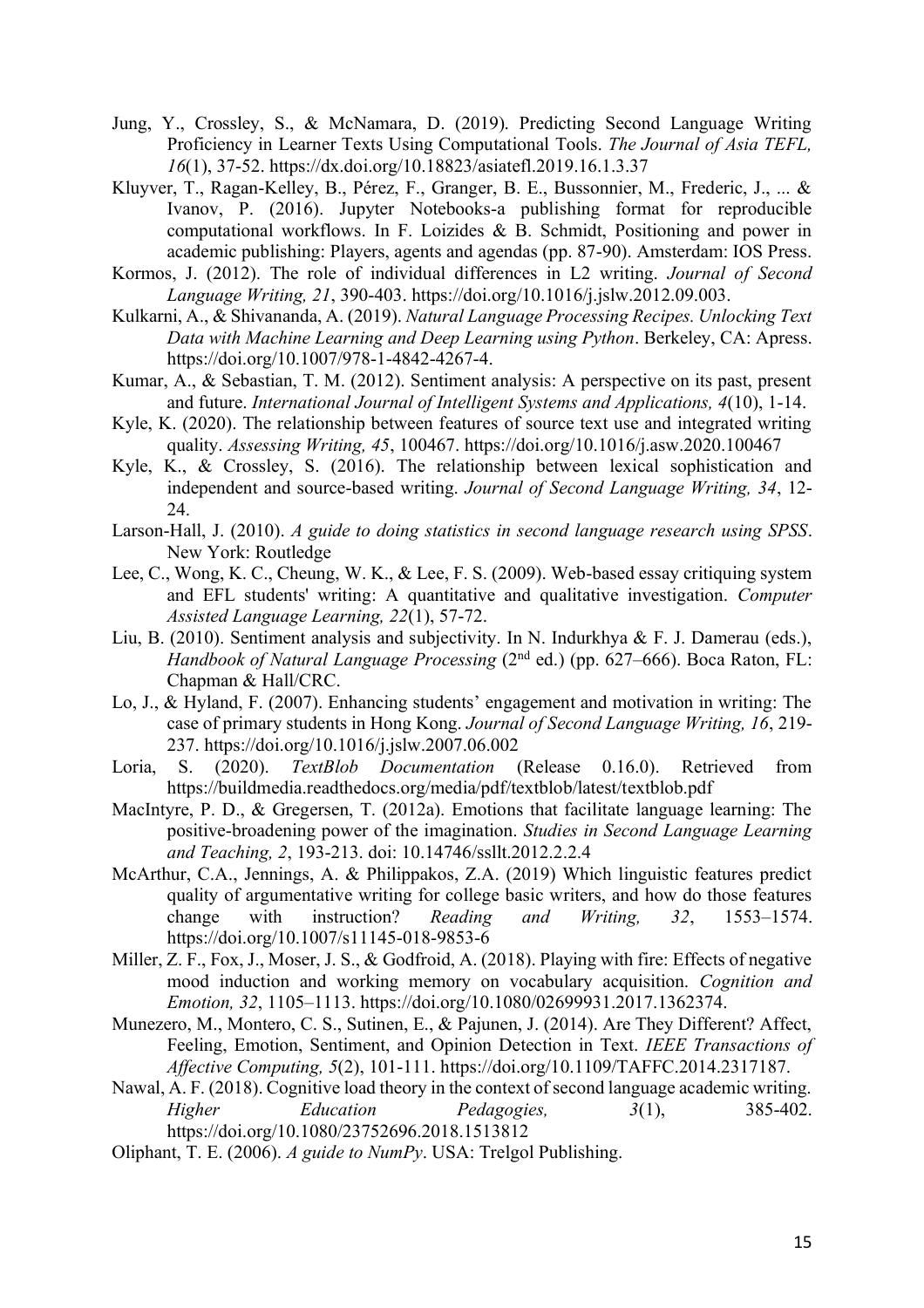- Jung, Y., Crossley, S., & McNamara, D. (2019). Predicting Second Language Writing Proficiency in Learner Texts Using Computational Tools. *The Journal of Asia TEFL, 16*(1), 37-52. https://dx.doi.org/10.18823/asiatefl.2019.16.1.3.37
- Kluyver, T., Ragan-Kelley, B., Pérez, F., Granger, B. E., Bussonnier, M., Frederic, J., ... & Ivanov, P. (2016). Jupyter Notebooks-a publishing format for reproducible computational workflows. In F. Loizides & B. Schmidt, Positioning and power in academic publishing: Players, agents and agendas (pp. 87-90). Amsterdam: IOS Press.
- Kormos, J. (2012). The role of individual differences in L2 writing. *Journal of Second Language Writing, 21*, 390-403. https://doi.org/10.1016/j.jslw.2012.09.003.
- Kulkarni, A., & Shivananda, A. (2019). *Natural Language Processing Recipes. Unlocking Text Data with Machine Learning and Deep Learning using Python*. Berkeley, CA: Apress. https://doi.org/10.1007/978-1-4842-4267-4.
- Kumar, A., & Sebastian, T. M. (2012). Sentiment analysis: A perspective on its past, present and future. *International Journal of Intelligent Systems and Applications, 4*(10), 1-14.
- Kyle, K. (2020). The relationship between features of source text use and integrated writing quality. *Assessing Writing, 45*, 100467. https://doi.org/10.1016/j.asw.2020.100467
- Kyle, K., & Crossley, S. (2016). The relationship between lexical sophistication and independent and source-based writing. *Journal of Second Language Writing, 34*, 12- 24.
- Larson-Hall, J. (2010). *A guide to doing statistics in second language research using SPSS*. New York: Routledge
- Lee, C., Wong, K. C., Cheung, W. K., & Lee, F. S. (2009). Web-based essay critiquing system and EFL students' writing: A quantitative and qualitative investigation. *Computer Assisted Language Learning, 22*(1), 57-72.
- Liu, B. (2010). Sentiment analysis and subjectivity. In N. Indurkhya & F. J. Damerau (eds.), *Handbook of Natural Language Processing* (2<sup>nd</sup> ed.) (pp. 627–666). Boca Raton, FL: Chapman & Hall/CRC.
- Lo, J., & Hyland, F. (2007). Enhancing students' engagement and motivation in writing: The case of primary students in Hong Kong. *Journal of Second Language Writing, 16*, 219- 237. https://doi.org/10.1016/j.jslw.2007.06.002
- Loria, S. (2020). *TextBlob Documentation* (Release 0.16.0). Retrieved from https://buildmedia.readthedocs.org/media/pdf/textblob/latest/textblob.pdf
- MacIntyre, P. D., & Gregersen, T. (2012a). Emotions that facilitate language learning: The positive-broadening power of the imagination. *Studies in Second Language Learning and Teaching, 2*, 193-213. doi: 10.14746/ssllt.2012.2.2.4
- McArthur, C.A., Jennings, A. & Philippakos, Z.A. (2019) Which linguistic features predict quality of argumentative writing for college basic writers, and how do those features change with instruction? *Reading and Writing, 32*, 1553–1574. https://doi.org/10.1007/s11145-018-9853-6
- Miller, Z. F., Fox, J., Moser, J. S., & Godfroid, A. (2018). Playing with fire: Effects of negative mood induction and working memory on vocabulary acquisition. *Cognition and Emotion, 32*, 1105–1113. https://doi.org/10.1080/02699931.2017.1362374.
- Munezero, M., Montero, C. S., Sutinen, E., & Pajunen, J. (2014). Are They Different? Affect, Feeling, Emotion, Sentiment, and Opinion Detection in Text. *IEEE Transactions of Affective Computing, 5*(2), 101-111. https://doi.org/10.1109/TAFFC.2014.2317187.
- Nawal, A. F. (2018). Cognitive load theory in the context of second language academic writing. *Higher Education Pedagogies, 3*(1), 385-402. https://doi.org/10.1080/23752696.2018.1513812
- Oliphant, T. E. (2006). *A guide to NumPy*. USA: Trelgol Publishing.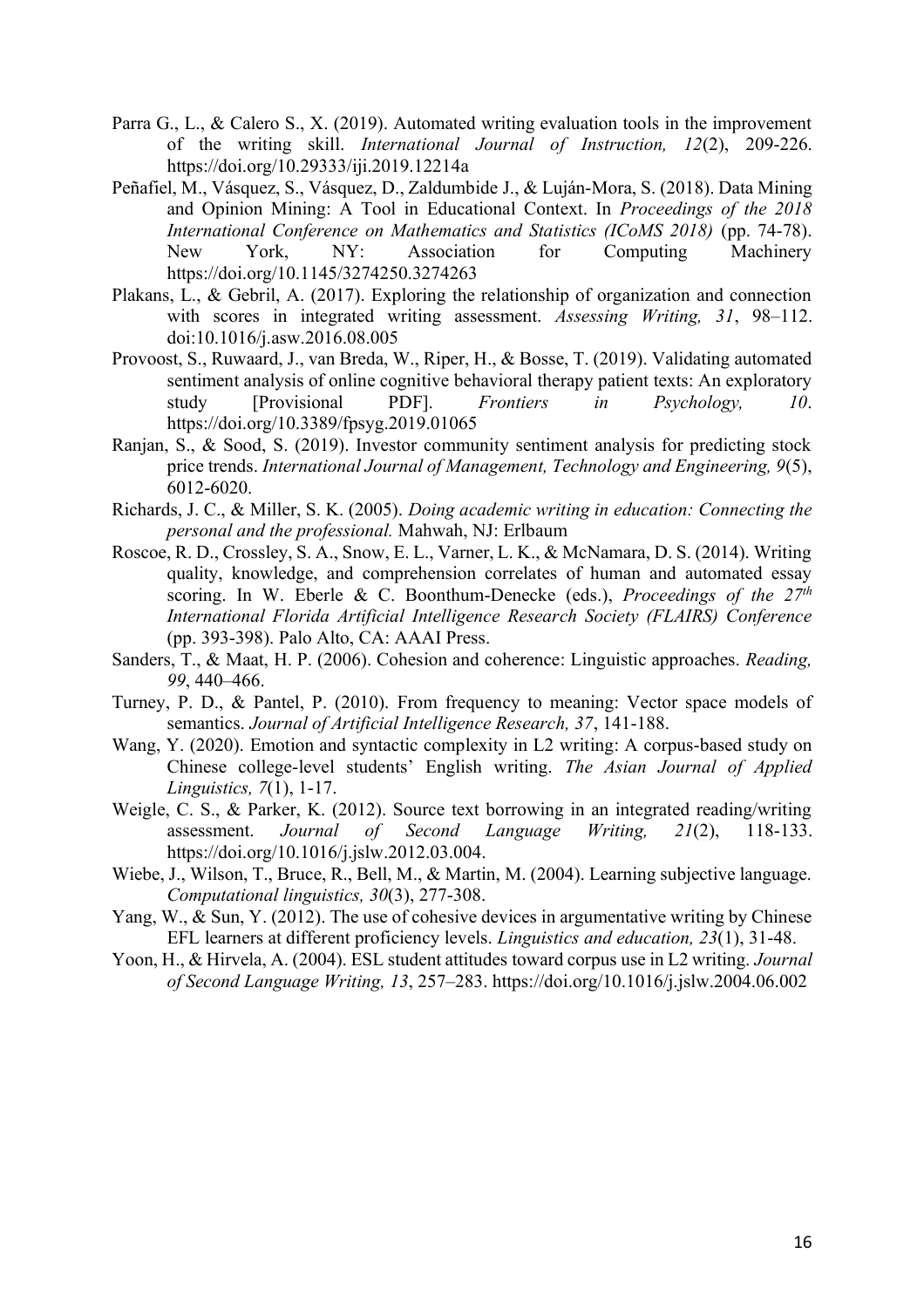- Parra G., L., & Calero S., X. (2019). Automated writing evaluation tools in the improvement of the writing skill. *International Journal of Instruction, 12*(2), 209-226. https://doi.org/10.29333/iji.2019.12214a
- Peñafiel, M., Vásquez, S., Vásquez, D., Zaldumbide J., & Luján-Mora, S. (2018). Data Mining and Opinion Mining: A Tool in Educational Context. In *Proceedings of the 2018 International Conference on Mathematics and Statistics (ICoMS 2018)* (pp. 74-78). New York, NY: Association for Computing Machinery https://doi.org/10.1145/3274250.3274263
- Plakans, L., & Gebril, A. (2017). Exploring the relationship of organization and connection with scores in integrated writing assessment. *Assessing Writing, 31*, 98–112. doi:10.1016/j.asw.2016.08.005
- Provoost, S., Ruwaard, J., van Breda, W., Riper, H., & Bosse, T. (2019). Validating automated sentiment analysis of online cognitive behavioral therapy patient texts: An exploratory study [Provisional PDF]. *Frontiers in Psychology, 10*. https://doi.org/10.3389/fpsyg.2019.01065
- Ranjan, S., & Sood, S. (2019). Investor community sentiment analysis for predicting stock price trends. *International Journal of Management, Technology and Engineering, 9*(5), 6012-6020.
- Richards, J. C., & Miller, S. K. (2005). *Doing academic writing in education: Connecting the personal and the professional.* Mahwah, NJ: Erlbaum
- Roscoe, R. D., Crossley, S. A., Snow, E. L., Varner, L. K., & McNamara, D. S. (2014). Writing quality, knowledge, and comprehension correlates of human and automated essay scoring. In W. Eberle & C. Boonthum-Denecke (eds.), *Proceedings of the 27th International Florida Artificial Intelligence Research Society (FLAIRS) Conference* (pp. 393-398). Palo Alto, CA: AAAI Press.
- Sanders, T., & Maat, H. P. (2006). Cohesion and coherence: Linguistic approaches. *Reading, 99*, 440–466.
- Turney, P. D., & Pantel, P. (2010). From frequency to meaning: Vector space models of semantics. *Journal of Artificial Intelligence Research, 37*, 141-188.
- Wang, Y. (2020). Emotion and syntactic complexity in L2 writing: A corpus-based study on Chinese college-level students' English writing. *The Asian Journal of Applied Linguistics, 7*(1), 1-17.
- Weigle, C. S., & Parker, K. (2012). Source text borrowing in an integrated reading/writing assessment. *Journal of Second Language Writing, 21*(2), 118-133. https://doi.org/10.1016/j.jslw.2012.03.004.
- Wiebe, J., Wilson, T., Bruce, R., Bell, M., & Martin, M. (2004). Learning subjective language. *Computational linguistics, 30*(3), 277-308.
- Yang, W., & Sun, Y. (2012). The use of cohesive devices in argumentative writing by Chinese EFL learners at different proficiency levels. *Linguistics and education, 23*(1), 31-48.
- Yoon, H., & Hirvela, A. (2004). ESL student attitudes toward corpus use in L2 writing. *Journal of Second Language Writing, 13*, 257–283. https://doi.org/10.1016/j.jslw.2004.06.002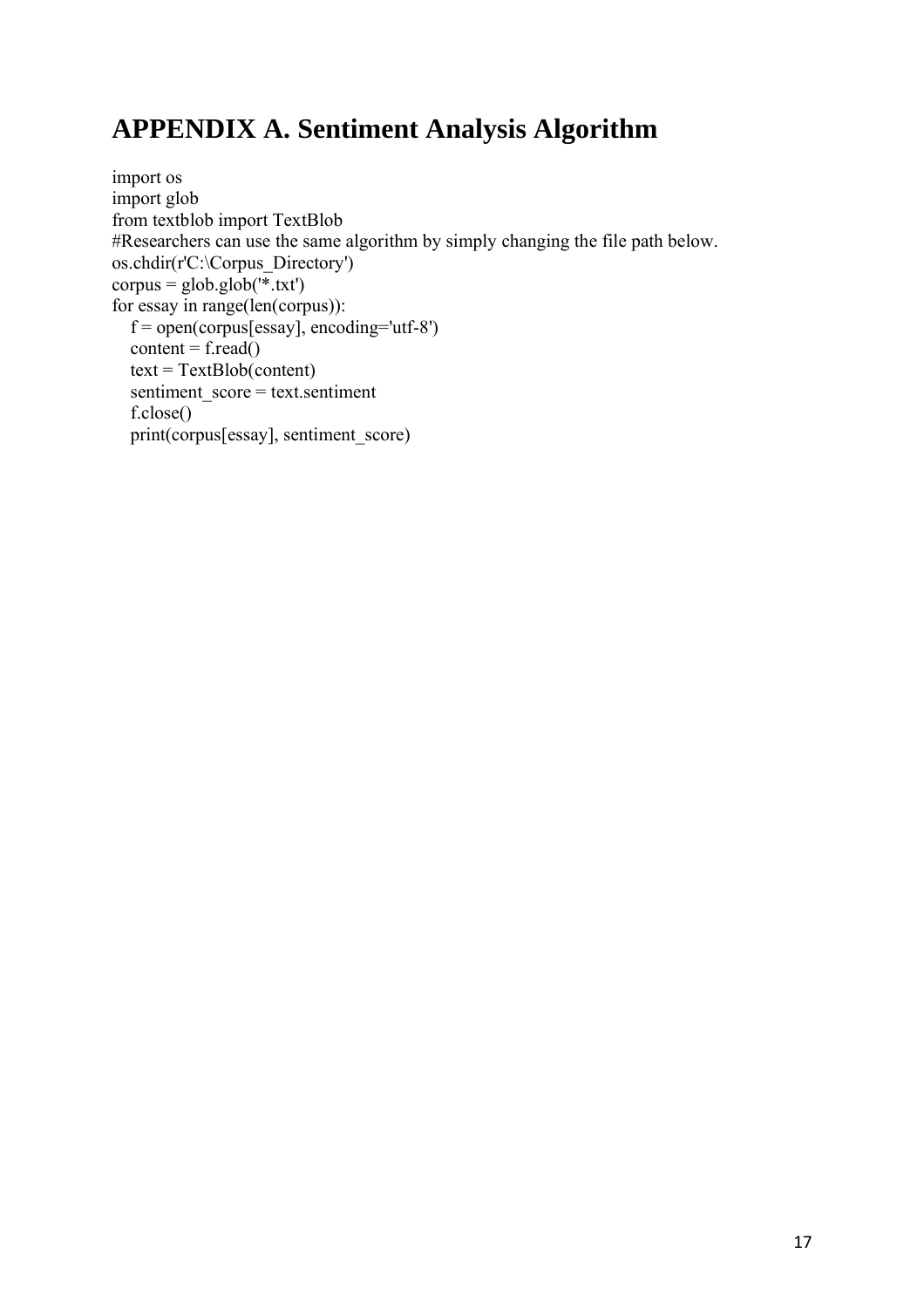# **APPENDIX A. Sentiment Analysis Algorithm**

```
import os
import glob
from textblob import TextBlob
#Researchers can use the same algorithm by simply changing the file path below. 
os.chdir(r'C:\Corpus_Directory')
corpus = glob.glob(\overline{f}.txt')
for essay in range(len(corpus)):
  f = open(corpus[essay], encoding='utf-8')content = f.read()text = TextBlob(content) sentiment_score = text.sentiment
   f.close()
   print(corpus[essay], sentiment_score)
```